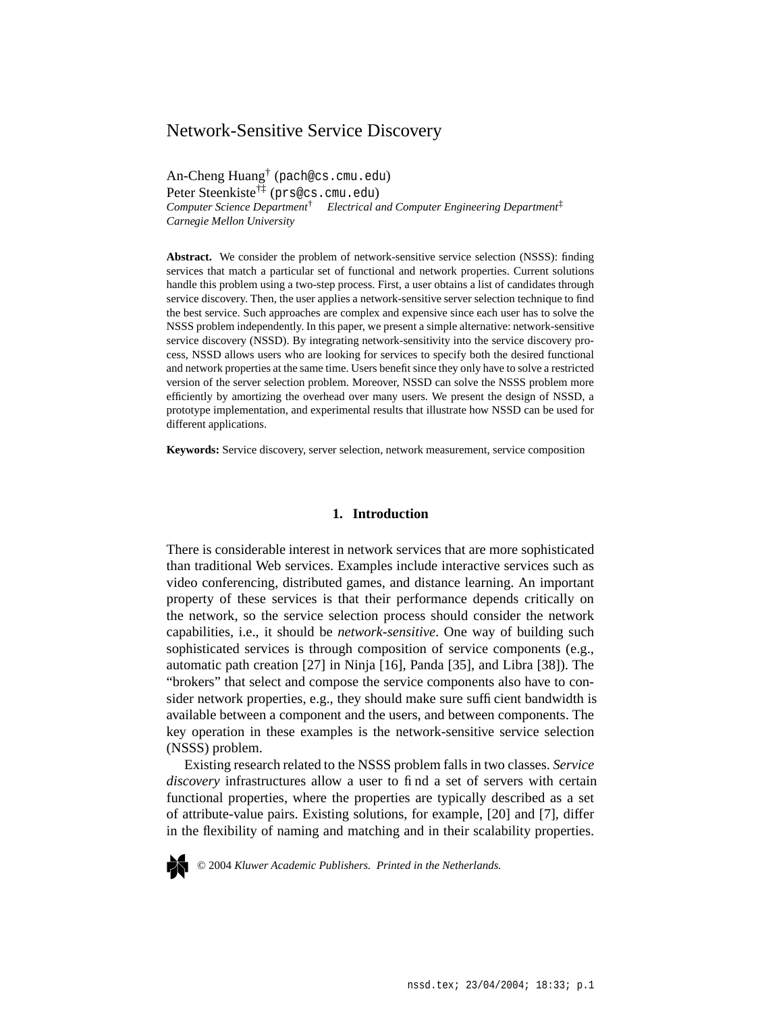# Network-Sensitive Service Discovery

An-Cheng Huang† (pach@cs.cmu.edu) Peter Steenkiste†‡ (prs@cs.cmu.edu) *Computer Science Department*† *Electrical and Computer Engineering Department*‡ *Carnegie Mellon University*

**Abstract.** We consider the problem of network-sensitive service selection (NSSS): finding services that match a particular set of functional and network properties. Current solutions handle this problem using a two-step process. First, a user obtains a list of candidates through service discovery. Then, the user applies a network-sensitive server selection technique to find the best service. Such approaches are complex and expensive since each user has to solve the NSSS problem independently. In this paper, we present a simple alternative: network-sensitive service discovery (NSSD). By integrating network-sensitivity into the service discovery process, NSSD allows users who are looking for services to specify both the desired functional and network properties at the same time. Users benefit since they only have to solve a restricted version of the server selection problem. Moreover, NSSD can solve the NSSS problem more efficiently by amortizing the overhead over many users. We present the design of NSSD, a prototype implementation, and experimental results that illustrate how NSSD can be used for different applications.

**Keywords:** Service discovery, server selection, network measurement, service composition

# **1. Introduction**

There is considerable interest in network services that are more sophisticated than traditional Web services. Examples include interactive services such as video conferencing, distributed games, and distance learning. An important property of these services is that their performance depends critically on the network, so the service selection process should consider the network capabilities, i.e., it should be *network-sensitive*. One way of building such sophisticated services is through composition of service components (e.g., automatic path creation [27] in Ninja [16], Panda [35], and Libra [38]). The "brokers" that select and compose the service components also have to consider network properties, e.g., they should make sure sufficient bandwidth is available between a component and the users, and between components. The key operation in these examples is the network-sensitive service selection (NSSS) problem.

Existing research related to the NSSS problem falls in two classes. *Service discovery* infrastructures allow a user to find a set of servers with certain functional properties, where the properties are typically described as a set of attribute-value pairs. Existing solutions, for example, [20] and [7], differ in the flexibility of naming and matching and in their scalability properties.



© 2004 *Kluwer Academic Publishers. Printed in the Netherlands.*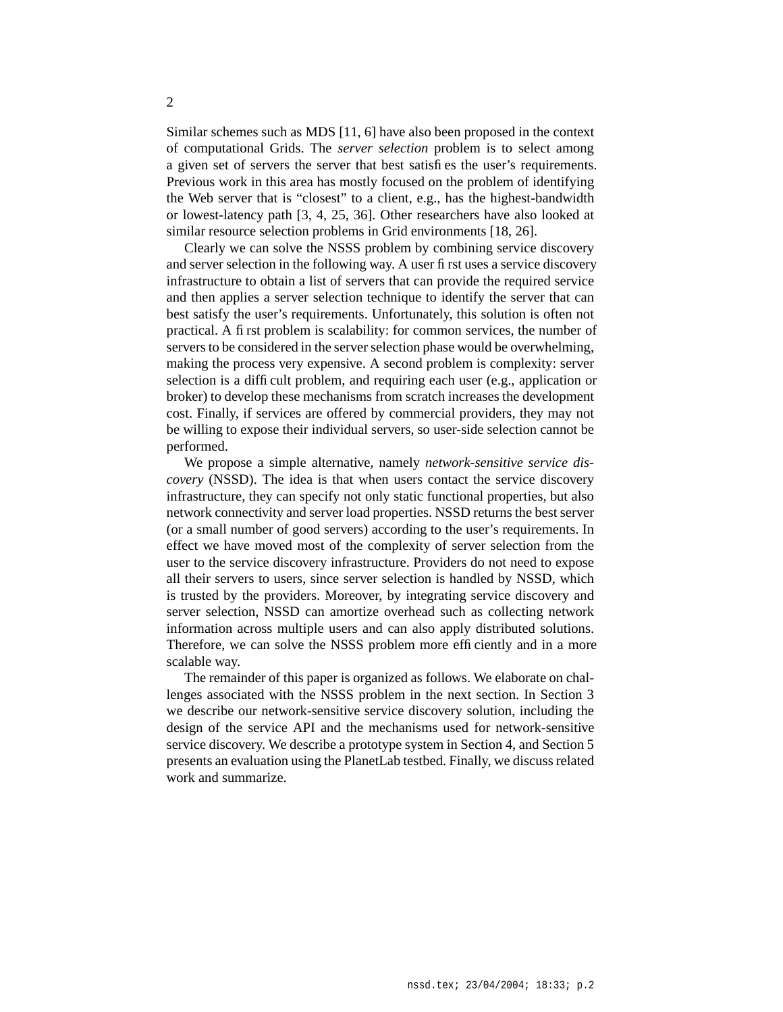Similar schemes such as MDS [11, 6] have also been proposed in the context of computational Grids. The *server selection* problem is to select among a given set of servers the server that best satisfies the user's requirements. Previous work in this area has mostly focused on the problem of identifying the Web server that is "closest" to a client, e.g., has the highest-bandwidth or lowest-latency path [3, 4, 25, 36]. Other researchers have also looked at similar resource selection problems in Grid environments [18, 26].

Clearly we can solve the NSSS problem by combining service discovery and server selection in the following way. A user first uses a service discovery infrastructure to obtain a list of servers that can provide the required service and then applies a server selection technique to identify the server that can best satisfy the user's requirements. Unfortunately, this solution is often not practical. A first problem is scalability: for common services, the number of servers to be considered in the server selection phase would be overwhelming, making the process very expensive. A second problem is complexity: server selection is a difficult problem, and requiring each user (e.g., application or broker) to develop these mechanisms from scratch increases the development cost. Finally, if services are offered by commercial providers, they may not be willing to expose their individual servers, so user-side selection cannot be performed.

We propose a simple alternative, namely *network-sensitive service discovery* (NSSD). The idea is that when users contact the service discovery infrastructure, they can specify not only static functional properties, but also network connectivity and server load properties. NSSD returns the best server (or a small number of good servers) according to the user's requirements. In effect we have moved most of the complexity of server selection from the user to the service discovery infrastructure. Providers do not need to expose all their servers to users, since server selection is handled by NSSD, which is trusted by the providers. Moreover, by integrating service discovery and server selection, NSSD can amortize overhead such as collecting network information across multiple users and can also apply distributed solutions. Therefore, we can solve the NSSS problem more efficiently and in a more scalable way.

The remainder of this paper is organized as follows. We elaborate on challenges associated with the NSSS problem in the next section. In Section 3 we describe our network-sensitive service discovery solution, including the design of the service API and the mechanisms used for network-sensitive service discovery. We describe a prototype system in Section 4, and Section 5 presents an evaluation using the PlanetLab testbed. Finally, we discussrelated work and summarize.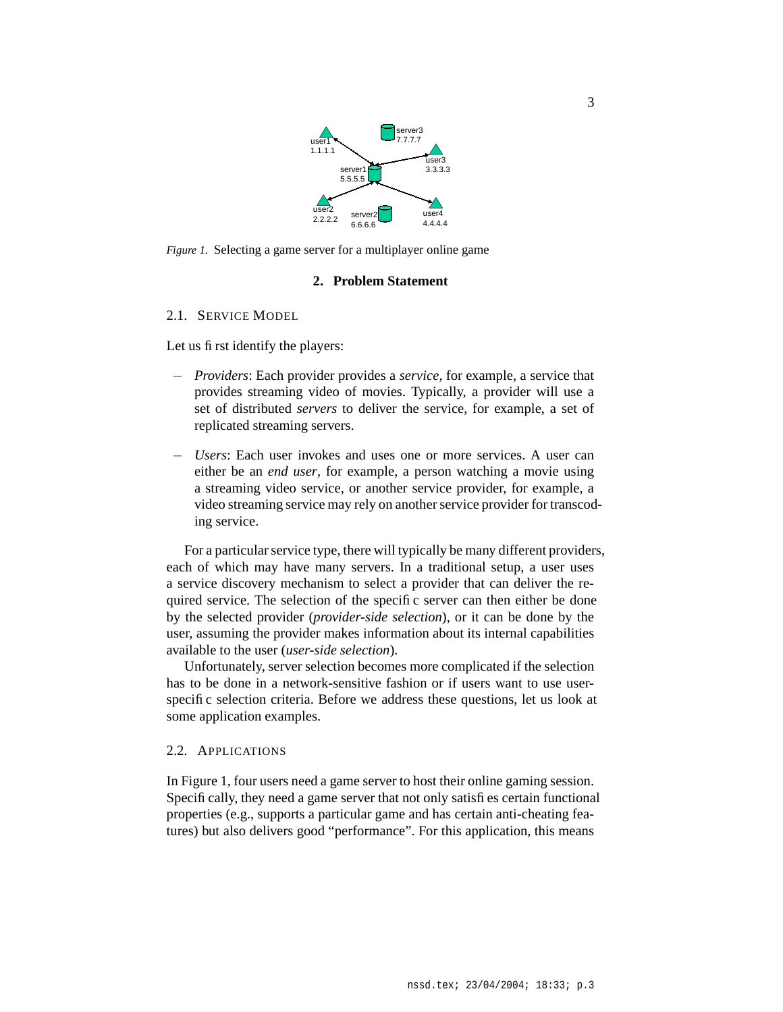

*Figure 1.* Selecting a game server for a multiplayer online game

# **2. Problem Statement**

2.1. SERVICE MODEL

Let us first identify the players:

- − *Providers*: Each provider provides a *service*, for example, a service that provides streaming video of movies. Typically, a provider will use a set of distributed *servers* to deliver the service, for example, a set of replicated streaming servers.
- *Users*: Each user invokes and uses one or more services. A user can either be an *end user*, for example, a person watching a movie using a streaming video service, or another service provider, for example, a video streaming service may rely on another service provider for transcoding service.

For a particular service type, there will typically be many different providers, each of which may have many servers. In a traditional setup, a user uses a service discovery mechanism to select a provider that can deliver the required service. The selection of the specific server can then either be done by the selected provider (*provider-side selection*), or it can be done by the user, assuming the provider makes information about its internal capabilities available to the user (*user-side selection*).

Unfortunately, server selection becomes more complicated if the selection has to be done in a network-sensitive fashion or if users want to use userspecific selection criteria. Before we address these questions, let us look at some application examples.

## 2.2. APPLICATIONS

In Figure 1, four users need a game server to host their online gaming session. Specifically, they need a game server that not only satisfies certain functional properties (e.g., supports a particular game and has certain anti-cheating features) but also delivers good "performance". For this application, this means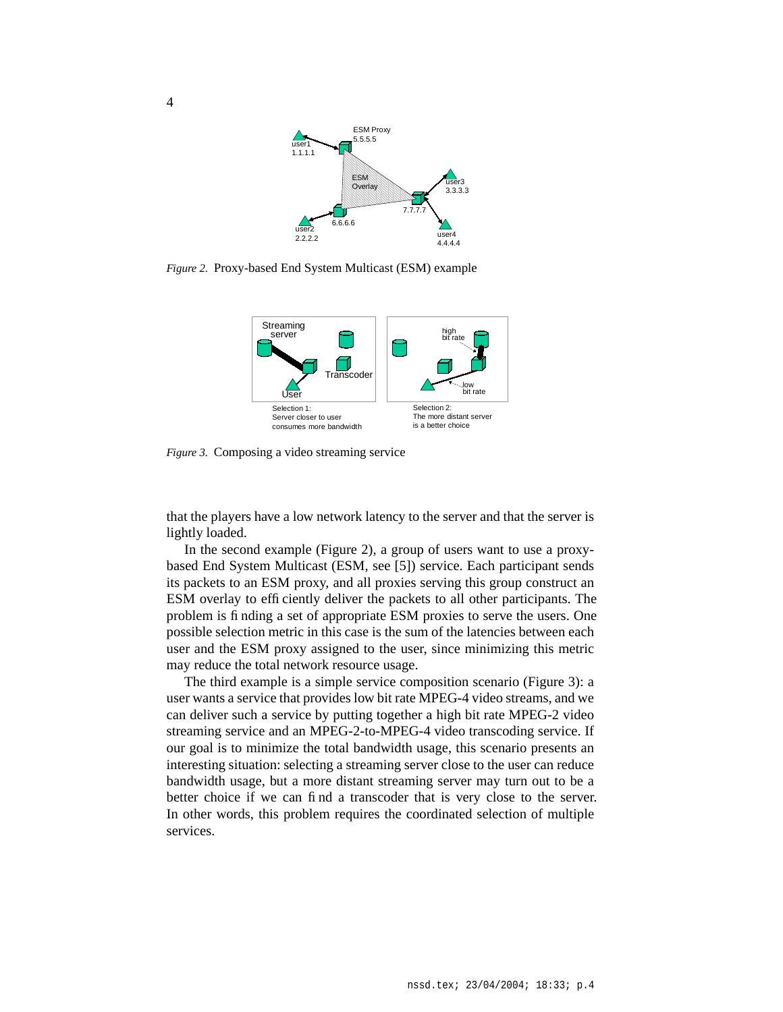

*Figure 2.* Proxy-based End System Multicast (ESM) example



*Figure 3.* Composing a video streaming service

that the players have a low network latency to the server and that the server is lightly loaded.

In the second example (Figure 2), a group of users want to use a proxybased End System Multicast (ESM, see [5]) service. Each participant sends its packets to an ESM proxy, and all proxies serving this group construct an ESM overlay to efficiently deliver the packets to all other participants. The problem is finding a set of appropriate ESM proxies to serve the users. One possible selection metric in this case is the sum of the latencies between each user and the ESM proxy assigned to the user, since minimizing this metric may reduce the total network resource usage.

The third example is a simple service composition scenario (Figure 3): a user wants a service that provides low bit rate MPEG-4 video streams, and we can deliver such a service by putting together a high bit rate MPEG-2 video streaming service and an MPEG-2-to-MPEG-4 video transcoding service. If our goal is to minimize the total bandwidth usage, this scenario presents an interesting situation: selecting a streaming server close to the user can reduce bandwidth usage, but a more distant streaming server may turn out to be a better choice if we can find a transcoder that is very close to the server. In other words, this problem requires the coordinated selection of multiple services.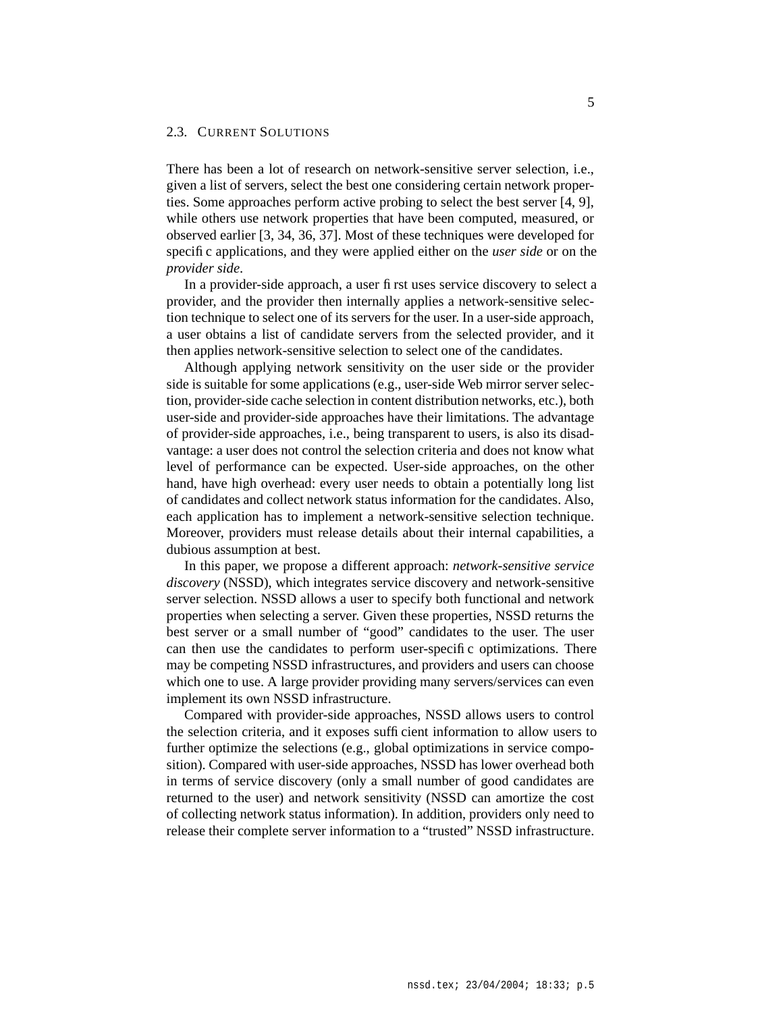#### 2.3. CURRENT SOLUTIONS

There has been a lot of research on network-sensitive server selection, i.e., given a list of servers, select the best one considering certain network properties. Some approaches perform active probing to select the best server [4, 9], while others use network properties that have been computed, measured, or observed earlier [3, 34, 36, 37]. Most of these techniques were developed for specific applications, and they were applied either on the *user side* or on the *provider side*.

In a provider-side approach, a user first uses service discovery to select a provider, and the provider then internally applies a network-sensitive selection technique to select one of its servers for the user. In a user-side approach, a user obtains a list of candidate servers from the selected provider, and it then applies network-sensitive selection to select one of the candidates.

Although applying network sensitivity on the user side or the provider side is suitable for some applications (e.g., user-side Web mirror server selection, provider-side cache selection in content distribution networks, etc.), both user-side and provider-side approaches have their limitations. The advantage of provider-side approaches, i.e., being transparent to users, is also its disadvantage: a user does not control the selection criteria and does not know what level of performance can be expected. User-side approaches, on the other hand, have high overhead: every user needs to obtain a potentially long list of candidates and collect network status information for the candidates. Also, each application has to implement a network-sensitive selection technique. Moreover, providers must release details about their internal capabilities, a dubious assumption at best.

In this paper, we propose a different approach: *network-sensitive service discovery* (NSSD), which integrates service discovery and network-sensitive server selection. NSSD allows a user to specify both functional and network properties when selecting a server. Given these properties, NSSD returns the best server or a small number of "good" candidates to the user. The user can then use the candidates to perform user-specific optimizations. There may be competing NSSD infrastructures, and providers and users can choose which one to use. A large provider providing many servers/services can even implement its own NSSD infrastructure.

Compared with provider-side approaches, NSSD allows users to control the selection criteria, and it exposes sufficient information to allow users to further optimize the selections (e.g., global optimizations in service composition). Compared with user-side approaches, NSSD has lower overhead both in terms of service discovery (only a small number of good candidates are returned to the user) and network sensitivity (NSSD can amortize the cost of collecting network status information). In addition, providers only need to release their complete server information to a "trusted" NSSD infrastructure.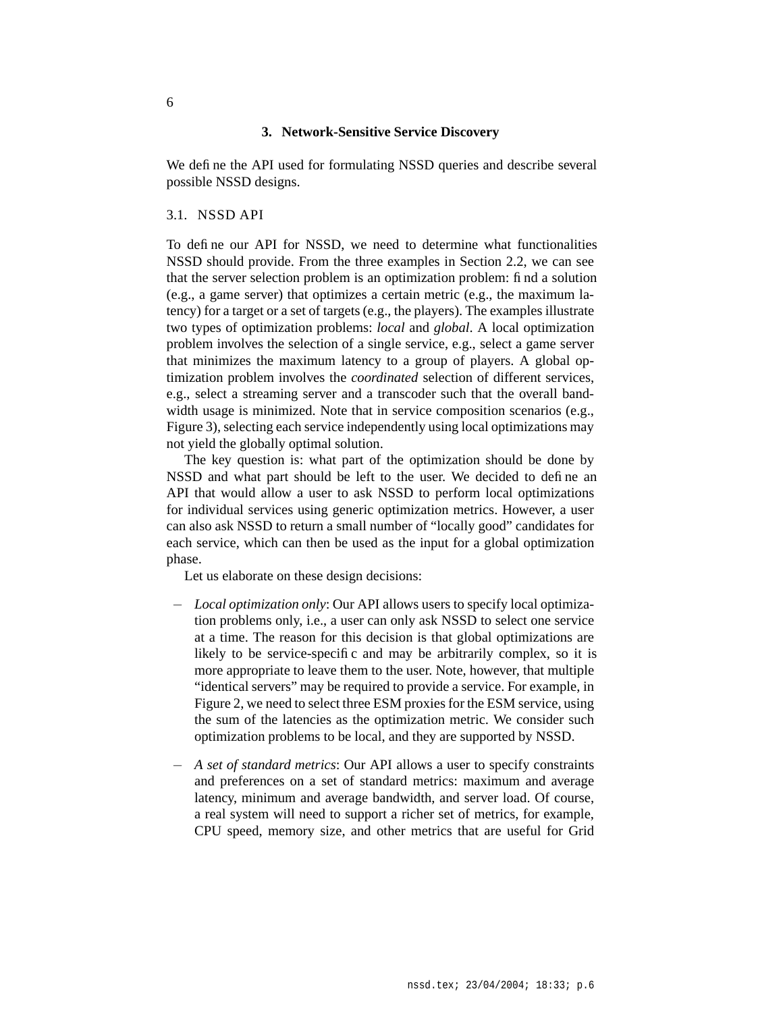#### **3. Network-Sensitive Service Discovery**

We define the API used for formulating NSSD queries and describe several possible NSSD designs.

#### 3.1. NSSD API

To define our API for NSSD, we need to determine what functionalities NSSD should provide. From the three examples in Section 2.2, we can see that the server selection problem is an optimization problem: find a solution (e.g., a game server) that optimizes a certain metric (e.g., the maximum latency) for a target or a set of targets(e.g., the players). The examples illustrate two types of optimization problems: *local* and *global*. A local optimization problem involves the selection of a single service, e.g., select a game server that minimizes the maximum latency to a group of players. A global optimization problem involves the *coordinated* selection of different services, e.g., select a streaming server and a transcoder such that the overall bandwidth usage is minimized. Note that in service composition scenarios (e.g., Figure 3), selecting each service independently using local optimizations may not yield the globally optimal solution.

The key question is: what part of the optimization should be done by NSSD and what part should be left to the user. We decided to define an API that would allow a user to ask NSSD to perform local optimizations for individual services using generic optimization metrics. However, a user can also ask NSSD to return a small number of "locally good" candidates for each service, which can then be used as the input for a global optimization phase.

Let us elaborate on these design decisions:

- − *Local optimization only*: Our API allows users to specify local optimization problems only, i.e., a user can only ask NSSD to select one service at a time. The reason for this decision is that global optimizations are likely to be service-specific and may be arbitrarily complex, so it is more appropriate to leave them to the user. Note, however, that multiple "identical servers" may be required to provide a service. For example, in Figure 2, we need to select three ESM proxies for the ESM service, using the sum of the latencies as the optimization metric. We consider such optimization problems to be local, and they are supported by NSSD.
- − *A set of standard metrics*: Our API allows a user to specify constraints and preferences on a set of standard metrics: maximum and average latency, minimum and average bandwidth, and server load. Of course, a real system will need to support a richer set of metrics, for example, CPU speed, memory size, and other metrics that are useful for Grid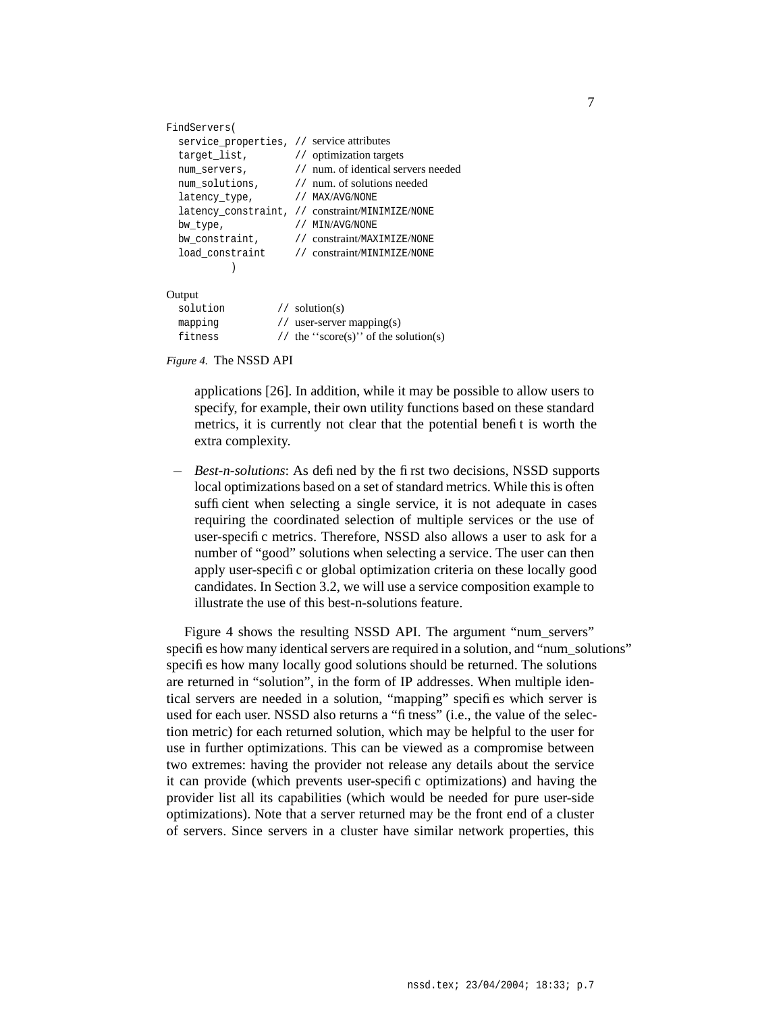```
FindServers(
 service_properties, // service attributes
 target_list, // optimization targets
 num_servers, // num. of identical servers needed
  num_solutions, // num. of solutions needed
  latency_type, // MAX/AVG/NONE
 latency_constraint, // constraint/MINIMIZE/NONE
 bw_type, // MIN/AVG/NONE
 bw_constraint, // constraint/MAXIMIZE/NONE
 load_constraint // constraint/MINIMIZE/NONE
          \rightarrowOutput
```

```
solution // solution(s)
mapping // user-server mapping(s)
fitness // the "score(s)" of the solution(s)
```

```
Figure 4. The NSSD API
```
applications [26]. In addition, while it may be possible to allow users to specify, for example, their own utility functions based on these standard metrics, it is currently not clear that the potential benefit is worth the extra complexity.

*Best-n-solutions*: As defined by the first two decisions, NSSD supports local optimizations based on a set of standard metrics. While this is often sufficient when selecting a single service, it is not adequate in cases requiring the coordinated selection of multiple services or the use of user-specific metrics. Therefore, NSSD also allows a user to ask for a number of "good" solutions when selecting a service. The user can then apply user-specific or global optimization criteria on these locally good candidates. In Section 3.2, we will use a service composition example to illustrate the use of this best-n-solutions feature.

Figure 4 shows the resulting NSSD API. The argument "num\_servers" specifies how many identical servers are required in a solution, and "num solutions" specifies how many locally good solutions should be returned. The solutions are returned in "solution", in the form of IP addresses. When multiple identical servers are needed in a solution, "mapping" specifies which server is used for each user. NSSD also returns a "fitness" (i.e., the value of the selection metric) for each returned solution, which may be helpful to the user for use in further optimizations. This can be viewed as a compromise between two extremes: having the provider not release any details about the service it can provide (which prevents user-specific optimizations) and having the provider list all its capabilities (which would be needed for pure user-side optimizations). Note that a server returned may be the front end of a cluster of servers. Since servers in a cluster have similar network properties, this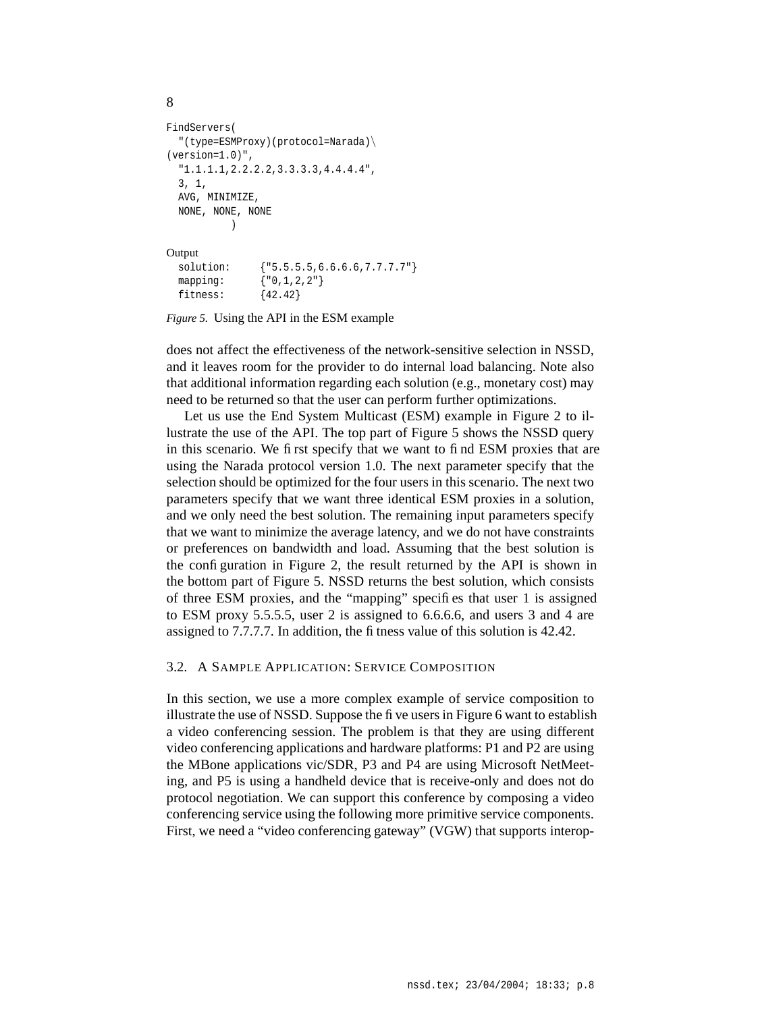```
FindServers(
  "(type=ESMProxy)(protocol=Narada)\
(version=1.0)",
 "1.1.1.1,2.2.2.2,3.3.3.3,4.4.4.4",
 3, 1,
 AVG, MINIMIZE,
 NONE, NONE, NONE
          )
Output
 solution: {"5.5.5.5,6.6.6.6,7.7.7.7"}
 mapping: {"0,1,2,2"}
 fitness: {42.42}
```
*Figure 5.* Using the API in the ESM example

does not affect the effectiveness of the network-sensitive selection in NSSD, and it leaves room for the provider to do internal load balancing. Note also that additional information regarding each solution (e.g., monetary cost) may need to be returned so that the user can perform further optimizations.

Let us use the End System Multicast (ESM) example in Figure 2 to illustrate the use of the API. The top part of Figure 5 shows the NSSD query in this scenario. We first specify that we want to find ESM proxies that are using the Narada protocol version 1.0. The next parameter specify that the selection should be optimized for the four users in this scenario. The next two parameters specify that we want three identical ESM proxies in a solution, and we only need the best solution. The remaining input parameters specify that we want to minimize the average latency, and we do not have constraints or preferences on bandwidth and load. Assuming that the best solution is the configuration in Figure 2, the result returned by the API is shown in the bottom part of Figure 5. NSSD returns the best solution, which consists of three ESM proxies, and the "mapping" specifies that user 1 is assigned to ESM proxy 5.5.5.5, user 2 is assigned to 6.6.6.6, and users 3 and 4 are assigned to 7.7.7.7. In addition, the fitness value of this solution is 42.42.

# 3.2. A SAMPLE APPLICATION: SERVICE COMPOSITION

In this section, we use a more complex example of service composition to illustrate the use of NSSD. Suppose the five usersin Figure 6 want to establish a video conferencing session. The problem is that they are using different video conferencing applications and hardware platforms: P1 and P2 are using the MBone applications vic/SDR, P3 and P4 are using Microsoft NetMeeting, and P5 is using a handheld device that is receive-only and does not do protocol negotiation. We can support this conference by composing a video conferencing service using the following more primitive service components. First, we need a "video conferencing gateway" (VGW) that supports interop-

8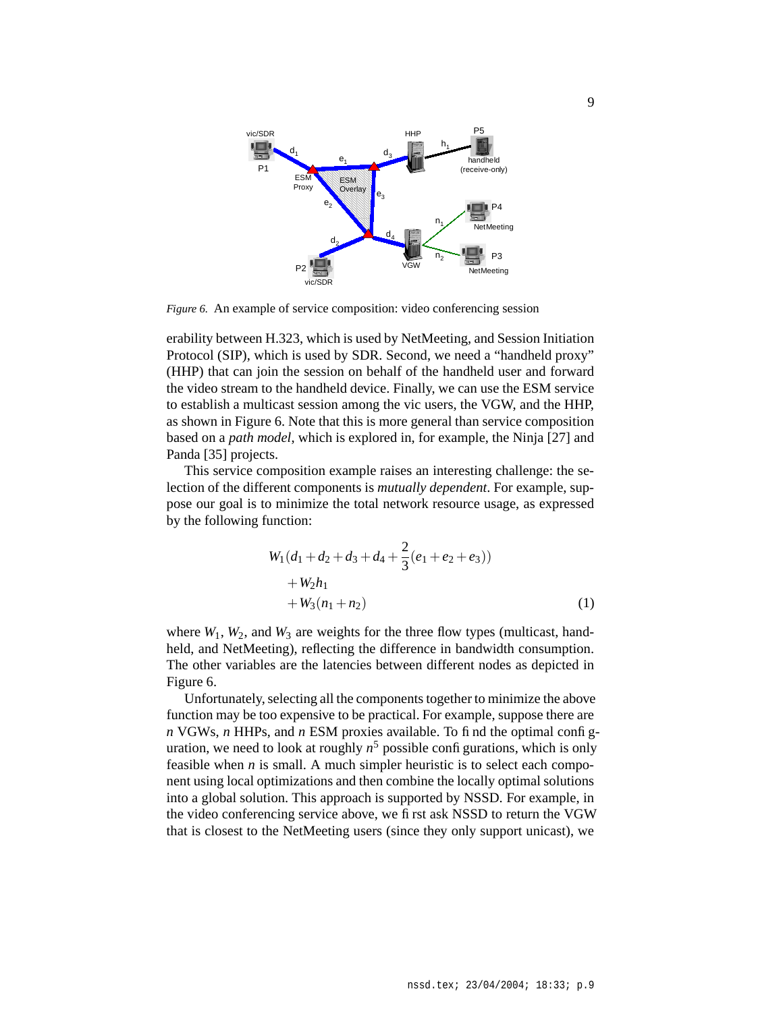

*Figure 6.* An example of service composition: video conferencing session

erability between H.323, which is used by NetMeeting, and Session Initiation Protocol (SIP), which is used by SDR. Second, we need a "handheld proxy" (HHP) that can join the session on behalf of the handheld user and forward the video stream to the handheld device. Finally, we can use the ESM service to establish a multicast session among the vic users, the VGW, and the HHP, as shown in Figure 6. Note that this is more general than service composition based on a *path model*, which is explored in, for example, the Ninja [27] and Panda [35] projects.

This service composition example raises an interesting challenge: the selection of the different components is *mutually dependent*. For example, suppose our goal is to minimize the total network resource usage, as expressed by the following function:

$$
W_1(d_1 + d_2 + d_3 + d_4 + \frac{2}{3}(e_1 + e_2 + e_3))
$$
  
+ 
$$
W_2h_1
$$
  
+ 
$$
W_3(n_1 + n_2)
$$
 (1)

where  $W_1$ ,  $W_2$ , and  $W_3$  are weights for the three flow types (multicast, handheld, and NetMeeting), reflecting the difference in bandwidth consumption. The other variables are the latencies between different nodes as depicted in Figure 6.

Unfortunately, selecting all the components together to minimize the above function may be too expensive to be practical. For example, suppose there are *n* VGWs, *n* HHPs, and *n* ESM proxies available. To find the optimal configuration, we need to look at roughly *n* <sup>5</sup> possible configurations, which is only feasible when *n* is small. A much simpler heuristic is to select each component using local optimizations and then combine the locally optimal solutions into a global solution. This approach is supported by NSSD. For example, in the video conferencing service above, we first ask NSSD to return the VGW that is closest to the NetMeeting users (since they only support unicast), we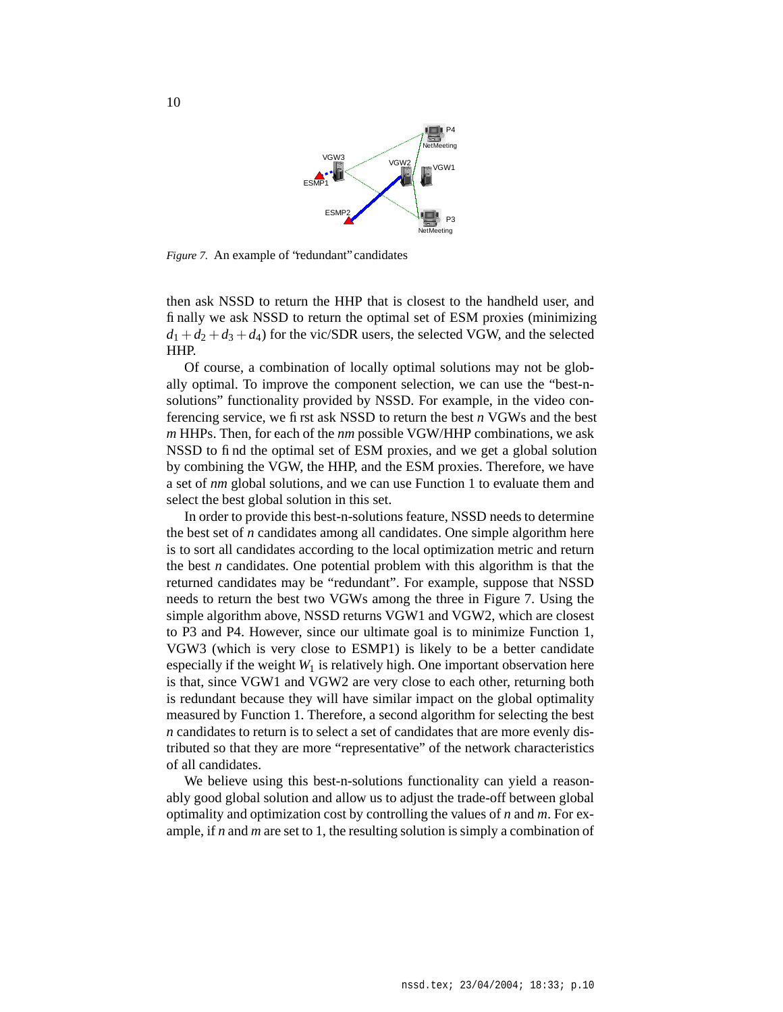

*Figure* 7. An example of "redundant" candidates

then ask NSSD to return the HHP that is closest to the handheld user, and finally we ask NSSD to return the optimal set of ESM proxies (minimizing  $d_1 + d_2 + d_3 + d_4$ ) for the vic/SDR users, the selected VGW, and the selected HHP.

Of course, a combination of locally optimal solutions may not be globally optimal. To improve the component selection, we can use the "best-nsolutions" functionality provided by NSSD. For example, in the video conferencing service, we first ask NSSD to return the best *n* VGWs and the best *m* HHPs. Then, for each of the *nm* possible VGW/HHP combinations, we ask NSSD to find the optimal set of ESM proxies, and we get a global solution by combining the VGW, the HHP, and the ESM proxies. Therefore, we have a set of *nm* global solutions, and we can use Function 1 to evaluate them and select the best global solution in this set.

In order to provide this best-n-solutions feature, NSSD needs to determine the best set of *n* candidates among all candidates. One simple algorithm here is to sort all candidates according to the local optimization metric and return the best *n* candidates. One potential problem with this algorithm is that the returned candidates may be "redundant". For example, suppose that NSSD needs to return the best two VGWs among the three in Figure 7. Using the simple algorithm above, NSSD returns VGW1 and VGW2, which are closest to P3 and P4. However, since our ultimate goal is to minimize Function 1, VGW3 (which is very close to ESMP1) is likely to be a better candidate especially if the weight  $W_1$  is relatively high. One important observation here is that, since VGW1 and VGW2 are very close to each other, returning both is redundant because they will have similar impact on the global optimality measured by Function 1. Therefore, a second algorithm for selecting the best *n* candidates to return is to select a set of candidates that are more evenly distributed so that they are more "representative" of the network characteristics of all candidates.

We believe using this best-n-solutions functionality can yield a reasonably good global solution and allow us to adjust the trade-off between global optimality and optimization cost by controlling the values of *n* and *m*. For example, if *n* and *m* are set to 1, the resulting solution is simply a combination of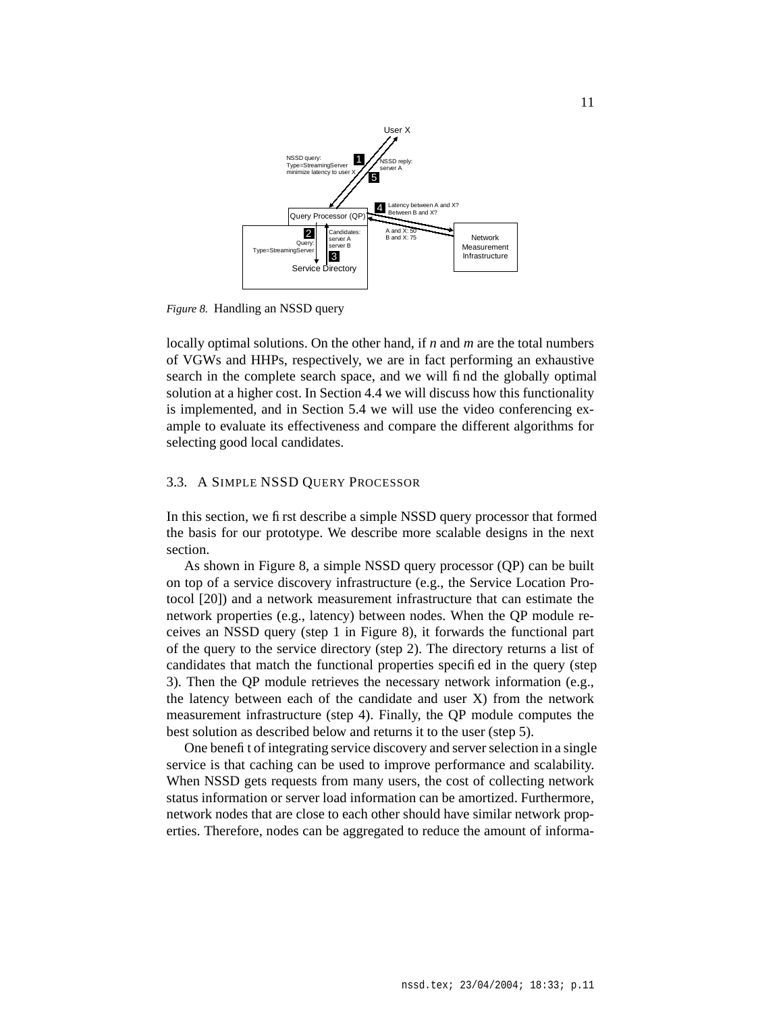

*Figure 8.* Handling an NSSD query

locally optimal solutions. On the other hand, if *n* and *m* are the total numbers of VGWs and HHPs, respectively, we are in fact performing an exhaustive search in the complete search space, and we will find the globally optimal solution at a higher cost. In Section 4.4 we will discuss how this functionality is implemented, and in Section 5.4 we will use the video conferencing example to evaluate its effectiveness and compare the different algorithms for selecting good local candidates.

#### 3.3. A SIMPLE NSSD QUERY PROCESSOR

In this section, we first describe a simple NSSD query processor that formed the basis for our prototype. We describe more scalable designs in the next section.

As shown in Figure 8, a simple NSSD query processor (QP) can be built on top of a service discovery infrastructure (e.g., the Service Location Protocol [20]) and a network measurement infrastructure that can estimate the network properties (e.g., latency) between nodes. When the QP module receives an NSSD query (step 1 in Figure 8), it forwards the functional part of the query to the service directory (step 2). The directory returns a list of candidates that match the functional properties specified in the query (step 3). Then the QP module retrieves the necessary network information (e.g., the latency between each of the candidate and user X) from the network measurement infrastructure (step 4). Finally, the QP module computes the best solution as described below and returns it to the user (step 5).

One benefit of integrating service discovery and serverselection in a single service is that caching can be used to improve performance and scalability. When NSSD gets requests from many users, the cost of collecting network status information or server load information can be amortized. Furthermore, network nodes that are close to each other should have similar network properties. Therefore, nodes can be aggregated to reduce the amount of informa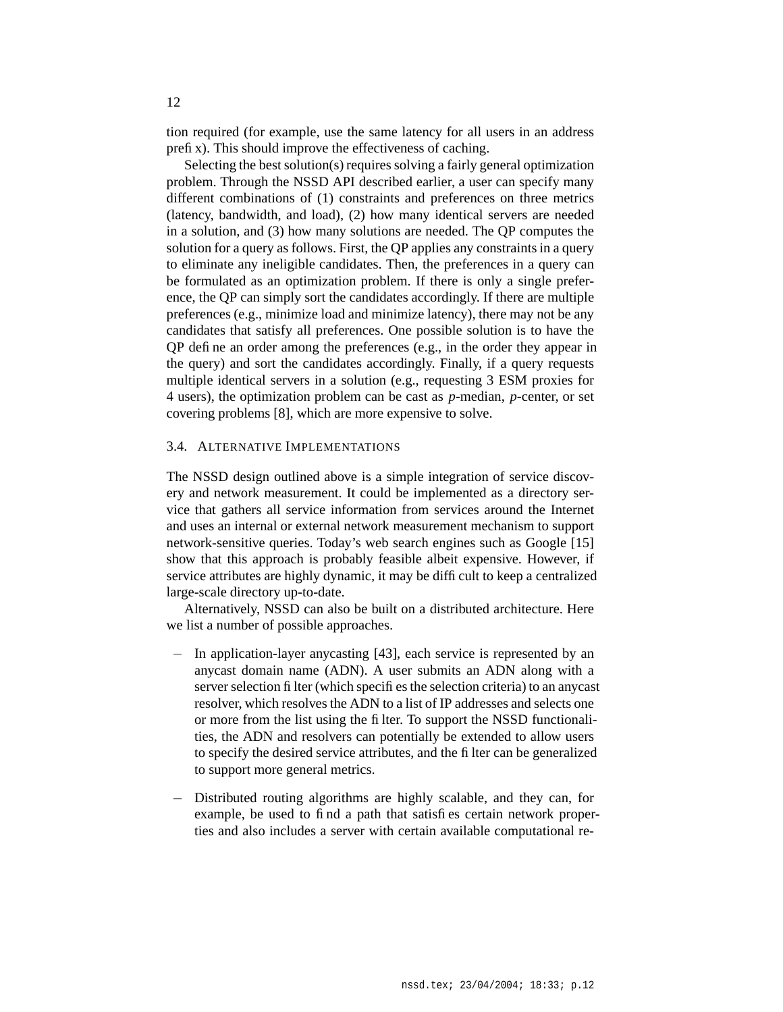tion required (for example, use the same latency for all users in an address prefix). This should improve the effectiveness of caching.

Selecting the best solution(s) requires solving a fairly general optimization problem. Through the NSSD API described earlier, a user can specify many different combinations of (1) constraints and preferences on three metrics (latency, bandwidth, and load), (2) how many identical servers are needed in a solution, and (3) how many solutions are needed. The QP computes the solution for a query as follows. First, the QP applies any constraints in a query to eliminate any ineligible candidates. Then, the preferences in a query can be formulated as an optimization problem. If there is only a single preference, the QP can simply sort the candidates accordingly. If there are multiple preferences (e.g., minimize load and minimize latency), there may not be any candidates that satisfy all preferences. One possible solution is to have the QP define an order among the preferences (e.g., in the order they appear in the query) and sort the candidates accordingly. Finally, if a query requests multiple identical servers in a solution (e.g., requesting 3 ESM proxies for 4 users), the optimization problem can be cast as *p*-median, *p*-center, or set covering problems [8], which are more expensive to solve.

## 3.4. ALTERNATIVE IMPLEMENTATIONS

The NSSD design outlined above is a simple integration of service discovery and network measurement. It could be implemented as a directory service that gathers all service information from services around the Internet and uses an internal or external network measurement mechanism to support network-sensitive queries. Today's web search engines such as Google [15] show that this approach is probably feasible albeit expensive. However, if service attributes are highly dynamic, it may be difficult to keep a centralized large-scale directory up-to-date.

Alternatively, NSSD can also be built on a distributed architecture. Here we list a number of possible approaches.

- − In application-layer anycasting [43], each service is represented by an anycast domain name (ADN). A user submits an ADN along with a server selection filter (which specifies the selection criteria) to an any cast resolver, which resolves the ADN to a list of IP addresses and selects one or more from the list using the filter. To support the NSSD functionalities, the ADN and resolvers can potentially be extended to allow users to specify the desired service attributes, and the filter can be generalized to support more general metrics.
- Distributed routing algorithms are highly scalable, and they can, for example, be used to find a path that satisfies certain network properties and also includes a server with certain available computational re-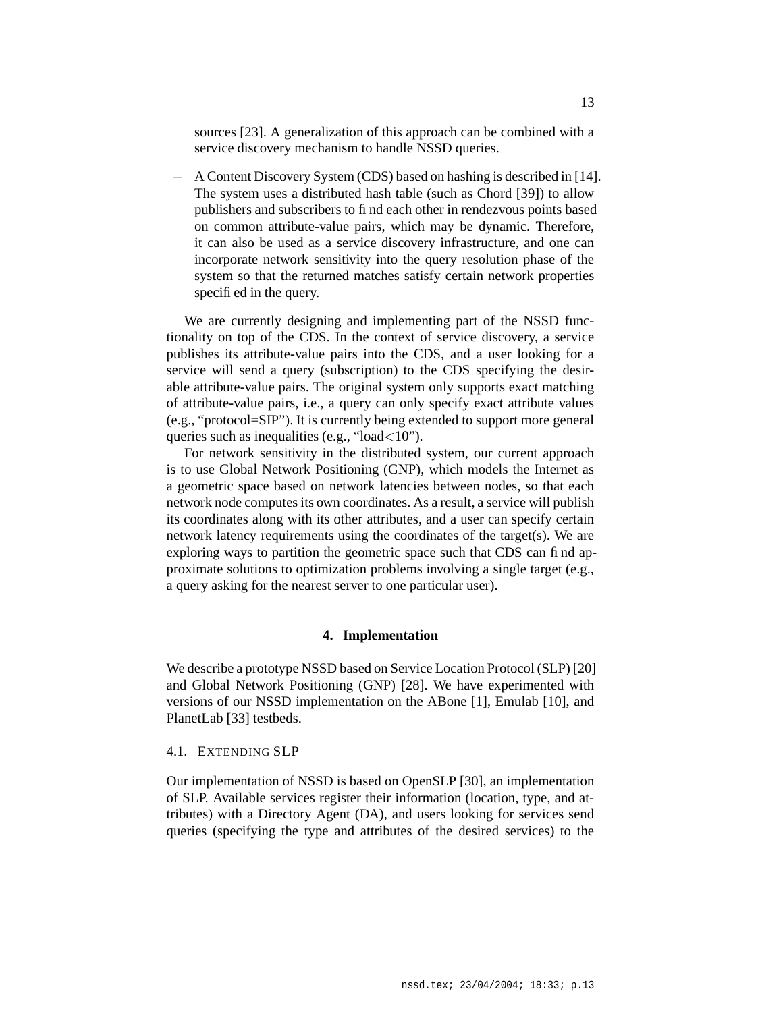sources [23]. A generalization of this approach can be combined with a service discovery mechanism to handle NSSD queries.

− A Content Discovery System (CDS) based on hashing is described in [14]. The system uses a distributed hash table (such as Chord [39]) to allow publishers and subscribers to find each other in rendezvous points based on common attribute-value pairs, which may be dynamic. Therefore, it can also be used as a service discovery infrastructure, and one can incorporate network sensitivity into the query resolution phase of the system so that the returned matches satisfy certain network properties specified in the query.

We are currently designing and implementing part of the NSSD functionality on top of the CDS. In the context of service discovery, a service publishes its attribute-value pairs into the CDS, and a user looking for a service will send a query (subscription) to the CDS specifying the desirable attribute-value pairs. The original system only supports exact matching of attribute-value pairs, i.e., a query can only specify exact attribute values (e.g., "protocol=SIP"). It is currently being extended to support more general queries such as inequalities (e.g., "load<10").

For network sensitivity in the distributed system, our current approach is to use Global Network Positioning (GNP), which models the Internet as a geometric space based on network latencies between nodes, so that each network node computes its own coordinates. As a result, a service will publish its coordinates along with its other attributes, and a user can specify certain network latency requirements using the coordinates of the target(s). We are exploring ways to partition the geometric space such that CDS can find approximate solutions to optimization problems involving a single target (e.g., a query asking for the nearest server to one particular user).

## **4. Implementation**

We describe a prototype NSSD based on Service Location Protocol (SLP) [20] and Global Network Positioning (GNP) [28]. We have experimented with versions of our NSSD implementation on the ABone [1], Emulab [10], and PlanetLab [33] testbeds.

#### 4.1. EXTENDING SLP

Our implementation of NSSD is based on OpenSLP [30], an implementation of SLP. Available services register their information (location, type, and attributes) with a Directory Agent (DA), and users looking for services send queries (specifying the type and attributes of the desired services) to the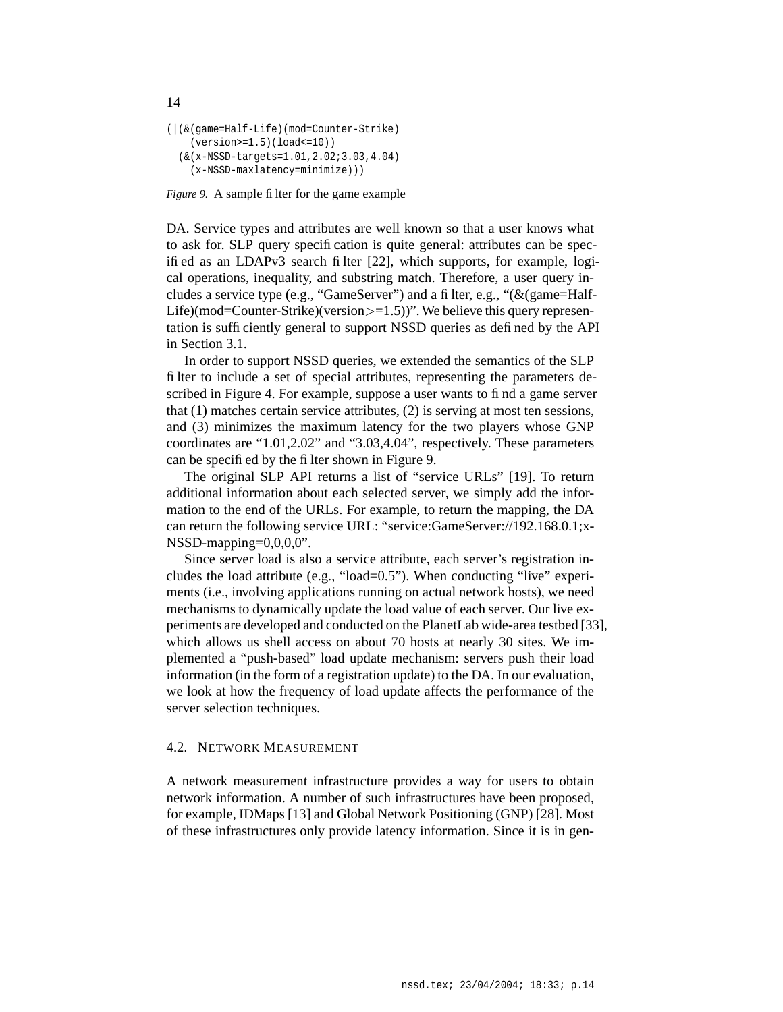```
(|(&(game=Half-Life)(mod=Counter-Strike)
    (version>=1.5)(load<=10))
 (&(x-NSSD-targets=1.01,2.02;3.03,4.04)
    (x-NSSD-maxlatency=minimize)))
```
#### *Figure 9.* A sample filter for the game example

DA. Service types and attributes are well known so that a user knows what to ask for. SLP query specification is quite general: attributes can be specified as an LDAPv3 search filter [22], which supports, for example, logical operations, inequality, and substring match. Therefore, a user query includes a service type (e.g., "GameServer") and a filter, e.g., "(&(game=Half-Life)(mod=Counter-Strike)(version $> = 1.5$ ))". We believe this query representation is sufficiently general to support NSSD queries as defined by the API in Section 3.1.

In order to support NSSD queries, we extended the semantics of the SLP filter to include a set of special attributes, representing the parameters described in Figure 4. For example, suppose a user wants to find a game server that (1) matches certain service attributes, (2) is serving at most ten sessions, and (3) minimizes the maximum latency for the two players whose GNP coordinates are "1.01,2.02" and "3.03,4.04", respectively. These parameters can be specified by the filter shown in Figure 9.

The original SLP API returns a list of "service URLs" [19]. To return additional information about each selected server, we simply add the information to the end of the URLs. For example, to return the mapping, the DA can return the following service URL: "service:GameServer://192.168.0.1;x-NSSD-mapping=0,0,0,0".

Since server load is also a service attribute, each server's registration includes the load attribute (e.g., "load=0.5"). When conducting "live" experiments (i.e., involving applications running on actual network hosts), we need mechanisms to dynamically update the load value of each server. Our live experiments are developed and conducted on the PlanetLab wide-area testbed [33], which allows us shell access on about 70 hosts at nearly 30 sites. We implemented a "push-based" load update mechanism: servers push their load information (in the form of a registration update) to the DA. In our evaluation, we look at how the frequency of load update affects the performance of the server selection techniques.

## 4.2. NETWORK MEASUREMENT

A network measurement infrastructure provides a way for users to obtain network information. A number of such infrastructures have been proposed, for example, IDMaps [13] and Global Network Positioning (GNP) [28]. Most of these infrastructures only provide latency information. Since it is in gen-

#### 14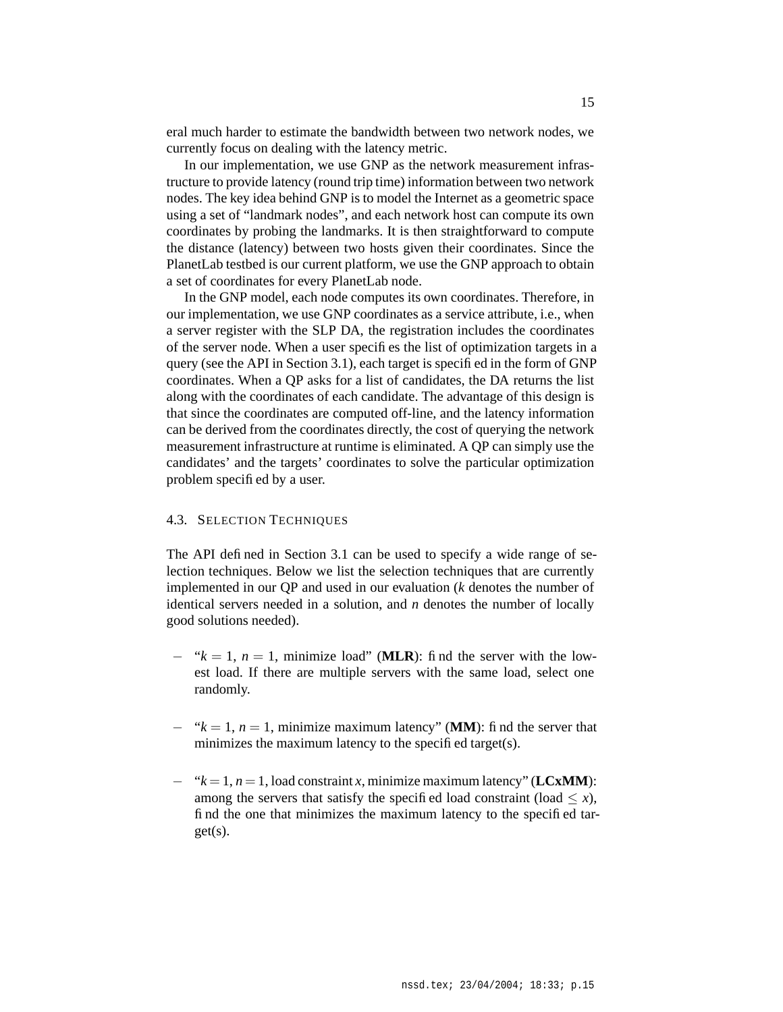eral much harder to estimate the bandwidth between two network nodes, we currently focus on dealing with the latency metric.

In our implementation, we use GNP as the network measurement infrastructure to provide latency (round trip time) information between two network nodes. The key idea behind GNP is to model the Internet as a geometric space using a set of "landmark nodes", and each network host can compute its own coordinates by probing the landmarks. It is then straightforward to compute the distance (latency) between two hosts given their coordinates. Since the PlanetLab testbed is our current platform, we use the GNP approach to obtain a set of coordinates for every PlanetLab node.

In the GNP model, each node computes its own coordinates. Therefore, in our implementation, we use GNP coordinates as a service attribute, i.e., when a server register with the SLP DA, the registration includes the coordinates of the server node. When a user specifies the list of optimization targets in a query (see the API in Section 3.1), each target is specified in the form of GNP coordinates. When a QP asks for a list of candidates, the DA returns the list along with the coordinates of each candidate. The advantage of this design is that since the coordinates are computed off-line, and the latency information can be derived from the coordinates directly, the cost of querying the network measurement infrastructure at runtime is eliminated. A QP can simply use the candidates' and the targets' coordinates to solve the particular optimization problem specified by a user.

# 4.3. SELECTION TECHNIQUES

The API defined in Section 3.1 can be used to specify a wide range of selection techniques. Below we list the selection techniques that are currently implemented in our QP and used in our evaluation (*k* denotes the number of identical servers needed in a solution, and *n* denotes the number of locally good solutions needed).

- − "*k* = 1, *n* = 1, minimize load" (**MLR**): find the server with the lowest load. If there are multiple servers with the same load, select one randomly.
- − "*k* = 1, *n* = 1, minimize maximum latency" (**MM**): find the server that minimizes the maximum latency to the specified target(s).
- − "*k* = 1, *n* = 1, load constraint *x*, minimize maximum latency" (**LCxMM**): among the servers that satisfy the specified load constraint (load  $\leq x$ ), find the one that minimizes the maximum latency to the specified tar $get(s)$ .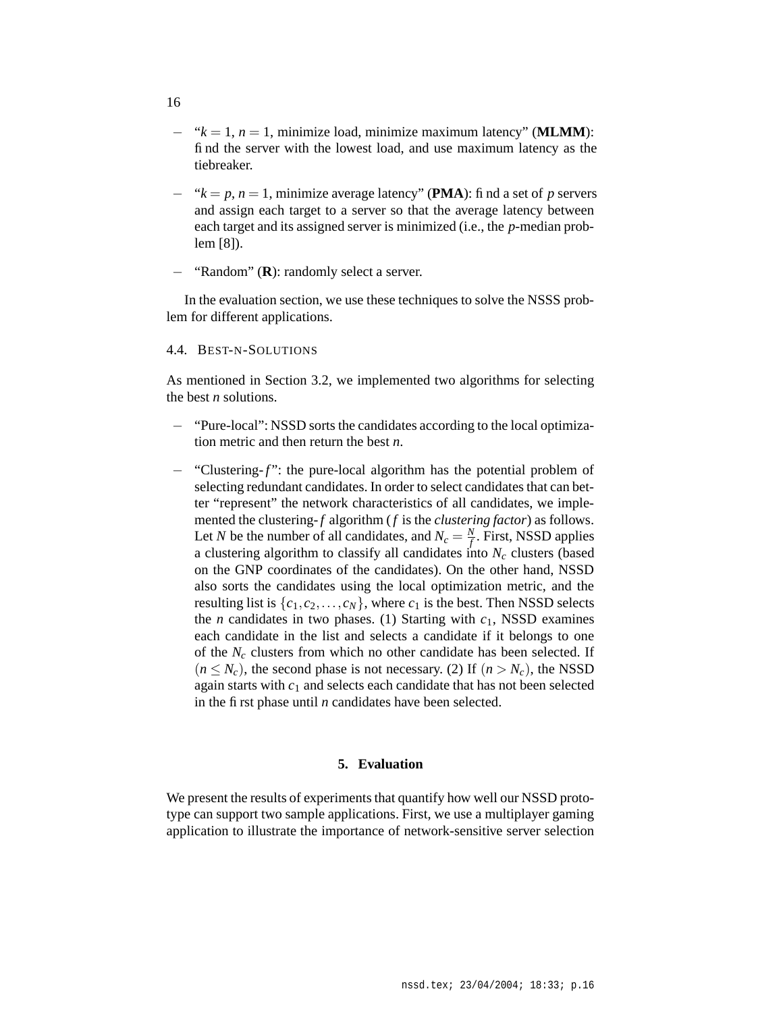- $"k = 1, n = 1$ , minimize load, minimize maximum latency" (**MLMM**): find the server with the lowest load, and use maximum latency as the tiebreaker.
- − "*k* = *p*, *n* = 1, minimize average latency" (**PMA**): find a set of *p* servers and assign each target to a server so that the average latency between each target and its assigned server is minimized (i.e., the *p*-median problem [8]).
- − "Random" (**R**): randomly select a server.

In the evaluation section, we use these techniques to solve the NSSS problem for different applications.

## 4.4. BEST-N-SOLUTIONS

As mentioned in Section 3.2, we implemented two algorithms for selecting the best *n* solutions.

- − "Pure-local": NSSD sorts the candidates according to the local optimization metric and then return the best *n*.
- − "Clustering-*f* ": the pure-local algorithm has the potential problem of selecting redundant candidates. In order to select candidates that can better "represent" the network characteristics of all candidates, we implemented the clustering-*f* algorithm (*f* is the *clustering factor*) as follows. Let *N* be the number of all candidates, and  $N_c = \frac{N}{f}$ *f* . First, NSSD applies a clustering algorithm to classify all candidates into *N<sup>c</sup>* clusters (based on the GNP coordinates of the candidates). On the other hand, NSSD also sorts the candidates using the local optimization metric, and the resulting list is  $\{c_1, c_2, \ldots, c_N\}$ , where  $c_1$  is the best. Then NSSD selects the *n* candidates in two phases. (1) Starting with  $c_1$ , NSSD examines each candidate in the list and selects a candidate if it belongs to one of the *N<sup>c</sup>* clusters from which no other candidate has been selected. If  $(n \leq N_c)$ , the second phase is not necessary. (2) If  $(n > N_c)$ , the NSSD again starts with  $c_1$  and selects each candidate that has not been selected in the first phase until *n* candidates have been selected.

## **5. Evaluation**

We present the results of experiments that quantify how well our NSSD prototype can support two sample applications. First, we use a multiplayer gaming application to illustrate the importance of network-sensitive server selection

16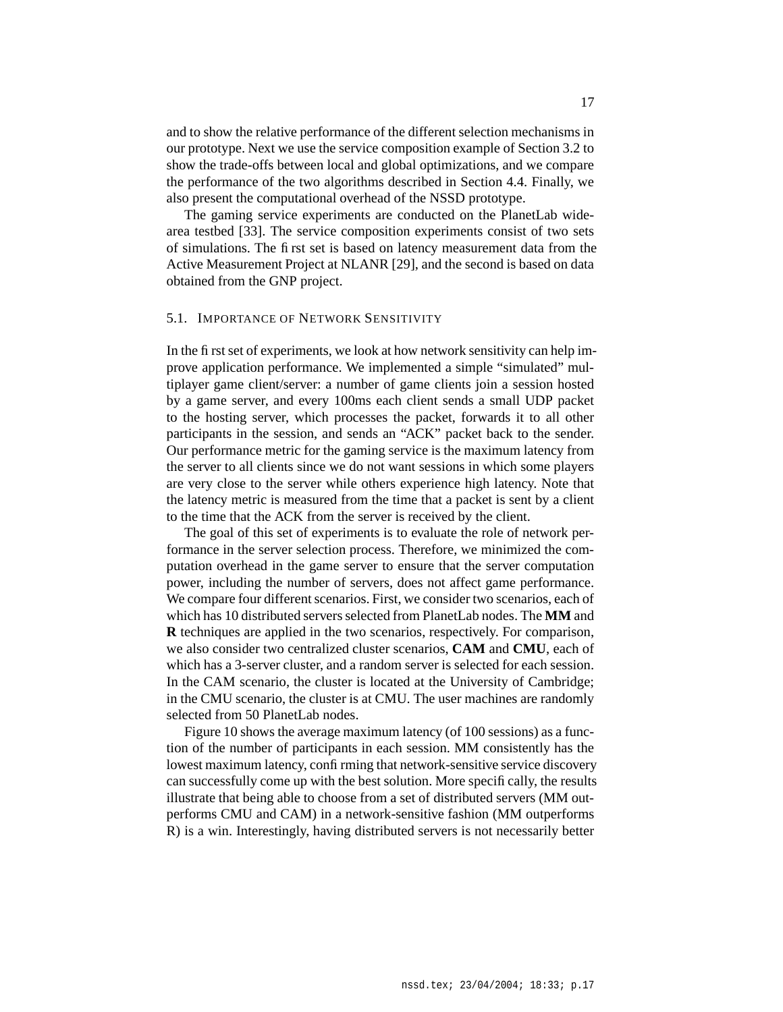and to show the relative performance of the different selection mechanisms in our prototype. Next we use the service composition example of Section 3.2 to show the trade-offs between local and global optimizations, and we compare the performance of the two algorithms described in Section 4.4. Finally, we also present the computational overhead of the NSSD prototype.

The gaming service experiments are conducted on the PlanetLab widearea testbed [33]. The service composition experiments consist of two sets of simulations. The first set is based on latency measurement data from the Active Measurement Project at NLANR [29], and the second is based on data obtained from the GNP project.

## 5.1. IMPORTANCE OF NETWORK SENSITIVITY

In the first set of experiments, we look at how network sensitivity can help improve application performance. We implemented a simple "simulated" multiplayer game client/server: a number of game clients join a session hosted by a game server, and every 100ms each client sends a small UDP packet to the hosting server, which processes the packet, forwards it to all other participants in the session, and sends an "ACK" packet back to the sender. Our performance metric for the gaming service is the maximum latency from the server to all clients since we do not want sessions in which some players are very close to the server while others experience high latency. Note that the latency metric is measured from the time that a packet is sent by a client to the time that the ACK from the server is received by the client.

The goal of this set of experiments is to evaluate the role of network performance in the server selection process. Therefore, we minimized the computation overhead in the game server to ensure that the server computation power, including the number of servers, does not affect game performance. We compare four different scenarios. First, we consider two scenarios, each of which has 10 distributed servers selected from PlanetLab nodes. The MM and **R** techniques are applied in the two scenarios, respectively. For comparison, we also consider two centralized cluster scenarios, **CAM** and **CMU**, each of which has a 3-server cluster, and a random server is selected for each session. In the CAM scenario, the cluster is located at the University of Cambridge; in the CMU scenario, the cluster is at CMU. The user machines are randomly selected from 50 PlanetLab nodes.

Figure 10 shows the average maximum latency (of 100 sessions) as a function of the number of participants in each session. MM consistently has the lowest maximum latency, confirming that network-sensitive service discovery can successfully come up with the best solution. More specifically, the results illustrate that being able to choose from a set of distributed servers (MM outperforms CMU and CAM) in a network-sensitive fashion (MM outperforms R) is a win. Interestingly, having distributed servers is not necessarily better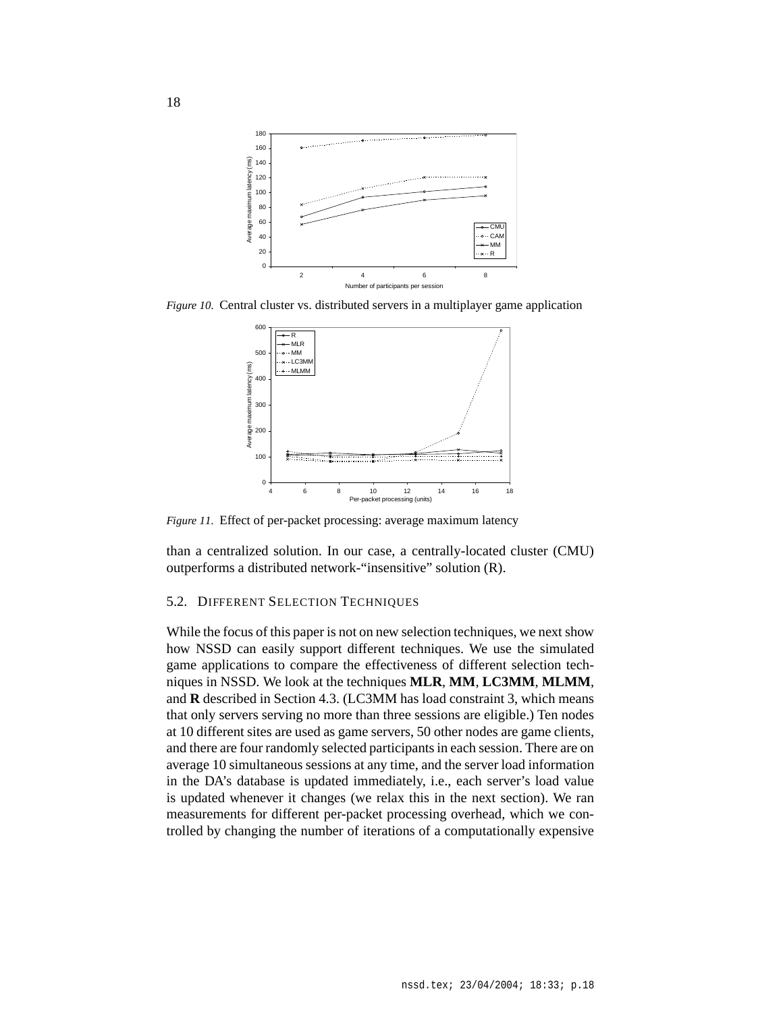

*Figure 10.* Central cluster vs. distributed servers in a multiplayer game application



*Figure 11.* Effect of per-packet processing: average maximum latency

than a centralized solution. In our case, a centrally-located cluster (CMU) outperforms a distributed network-"insensitive" solution (R).

#### 5.2. DIFFERENT SELECTION TECHNIQUES

While the focus of this paper is not on new selection techniques, we next show how NSSD can easily support different techniques. We use the simulated game applications to compare the effectiveness of different selection techniques in NSSD. We look at the techniques **MLR**, **MM**, **LC3MM**, **MLMM**, and **R** described in Section 4.3. (LC3MM has load constraint 3, which means that only servers serving no more than three sessions are eligible.) Ten nodes at 10 different sites are used as game servers, 50 other nodes are game clients, and there are four randomly selected participants in each session. There are on average 10 simultaneous sessions at any time, and the server load information in the DA's database is updated immediately, i.e., each server's load value is updated whenever it changes (we relax this in the next section). We ran measurements for different per-packet processing overhead, which we controlled by changing the number of iterations of a computationally expensive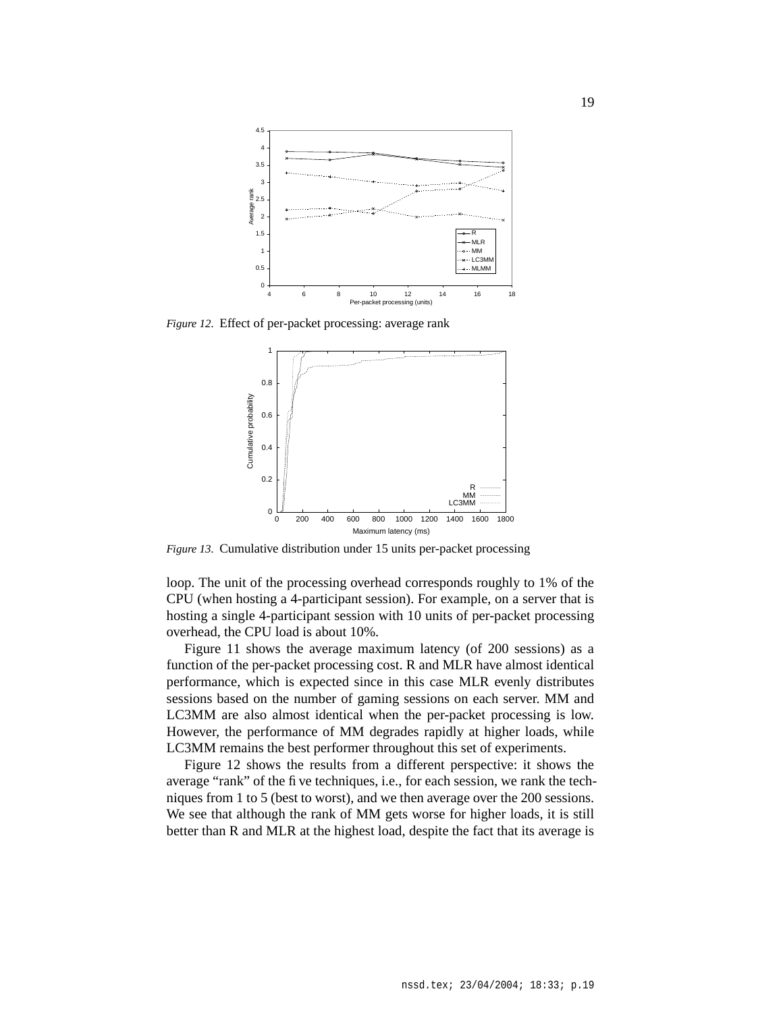

*Figure 12.* Effect of per-packet processing: average rank



*Figure 13.* Cumulative distribution under 15 units per-packet processing

loop. The unit of the processing overhead corresponds roughly to 1% of the CPU (when hosting a 4-participant session). For example, on a server that is hosting a single 4-participant session with 10 units of per-packet processing overhead, the CPU load is about 10%.

Figure 11 shows the average maximum latency (of 200 sessions) as a function of the per-packet processing cost. R and MLR have almost identical performance, which is expected since in this case MLR evenly distributes sessions based on the number of gaming sessions on each server. MM and LC3MM are also almost identical when the per-packet processing is low. However, the performance of MM degrades rapidly at higher loads, while LC3MM remains the best performer throughout this set of experiments.

Figure 12 shows the results from a different perspective: it shows the average "rank" of the five techniques, i.e., for each session, we rank the techniques from 1 to 5 (best to worst), and we then average over the 200 sessions. We see that although the rank of MM gets worse for higher loads, it is still better than R and MLR at the highest load, despite the fact that its average is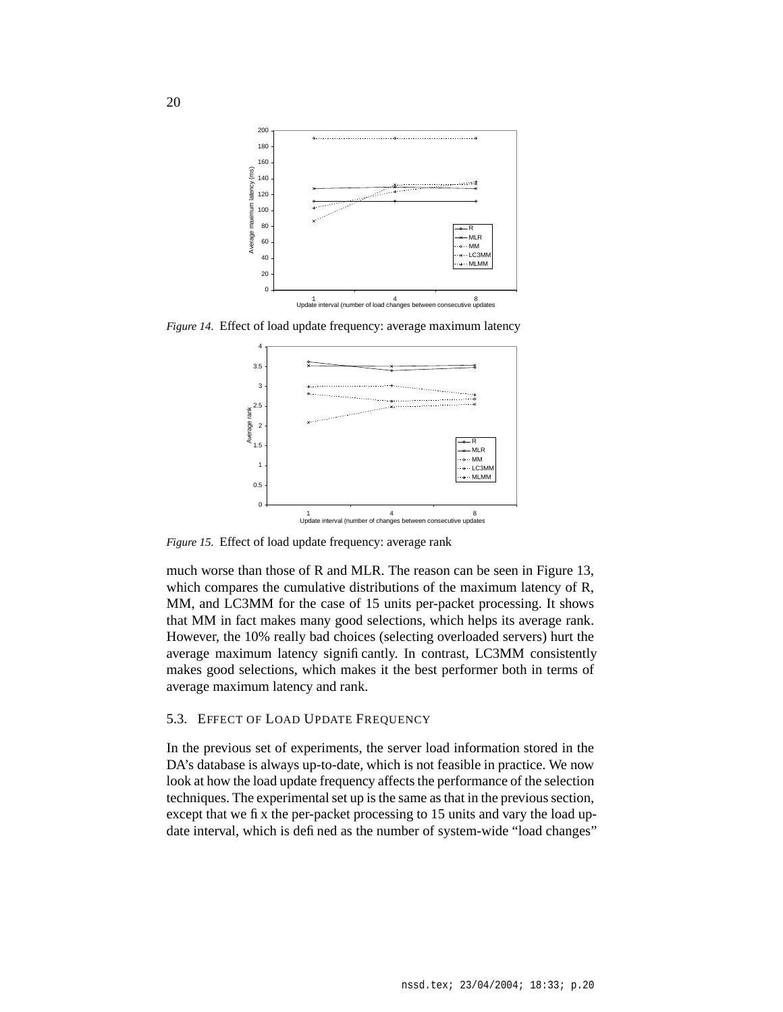

*Figure 14.* Effect of load update frequency: average maximum latency



*Figure 15.* Effect of load update frequency: average rank

much worse than those of R and MLR. The reason can be seen in Figure 13, which compares the cumulative distributions of the maximum latency of R, MM, and LC3MM for the case of 15 units per-packet processing. It shows that MM in fact makes many good selections, which helps its average rank. However, the 10% really bad choices (selecting overloaded servers) hurt the average maximum latency significantly. In contrast, LC3MM consistently makes good selections, which makes it the best performer both in terms of average maximum latency and rank.

#### 5.3. EFFECT OF LOAD UPDATE FREQUENCY

In the previous set of experiments, the server load information stored in the DA's database is always up-to-date, which is not feasible in practice. We now look at how the load update frequency affects the performance of the selection techniques. The experimental set up is the same as that in the previous section, except that we fix the per-packet processing to 15 units and vary the load update interval, which is defined as the number of system-wide "load changes"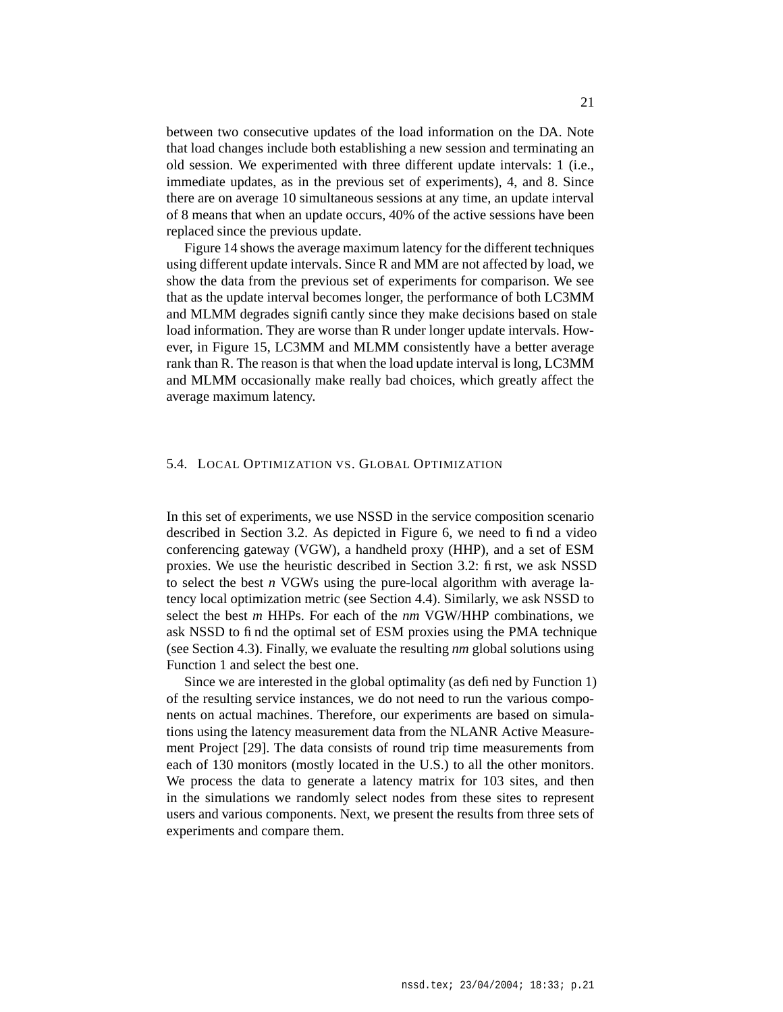between two consecutive updates of the load information on the DA. Note that load changes include both establishing a new session and terminating an old session. We experimented with three different update intervals: 1 (i.e., immediate updates, as in the previous set of experiments), 4, and 8. Since there are on average 10 simultaneous sessions at any time, an update interval of 8 means that when an update occurs, 40% of the active sessions have been replaced since the previous update.

Figure 14 shows the average maximum latency for the different techniques using different update intervals. Since R and MM are not affected by load, we show the data from the previous set of experiments for comparison. We see that as the update interval becomes longer, the performance of both LC3MM and MLMM degrades significantly since they make decisions based on stale load information. They are worse than R under longer update intervals. However, in Figure 15, LC3MM and MLMM consistently have a better average rank than R. The reason is that when the load update interval is long, LC3MM and MLMM occasionally make really bad choices, which greatly affect the average maximum latency.

## 5.4. LOCAL OPTIMIZATION VS. GLOBAL OPTIMIZATION

In this set of experiments, we use NSSD in the service composition scenario described in Section 3.2. As depicted in Figure 6, we need to find a video conferencing gateway (VGW), a handheld proxy (HHP), and a set of ESM proxies. We use the heuristic described in Section 3.2: first, we ask NSSD to select the best *n* VGWs using the pure-local algorithm with average latency local optimization metric (see Section 4.4). Similarly, we ask NSSD to select the best *m* HHPs. For each of the *nm* VGW/HHP combinations, we ask NSSD to find the optimal set of ESM proxies using the PMA technique (see Section 4.3). Finally, we evaluate the resulting *nm* global solutions using Function 1 and select the best one.

Since we are interested in the global optimality (as defined by Function 1) of the resulting service instances, we do not need to run the various components on actual machines. Therefore, our experiments are based on simulations using the latency measurement data from the NLANR Active Measurement Project [29]. The data consists of round trip time measurements from each of 130 monitors (mostly located in the U.S.) to all the other monitors. We process the data to generate a latency matrix for 103 sites, and then in the simulations we randomly select nodes from these sites to represent users and various components. Next, we present the results from three sets of experiments and compare them.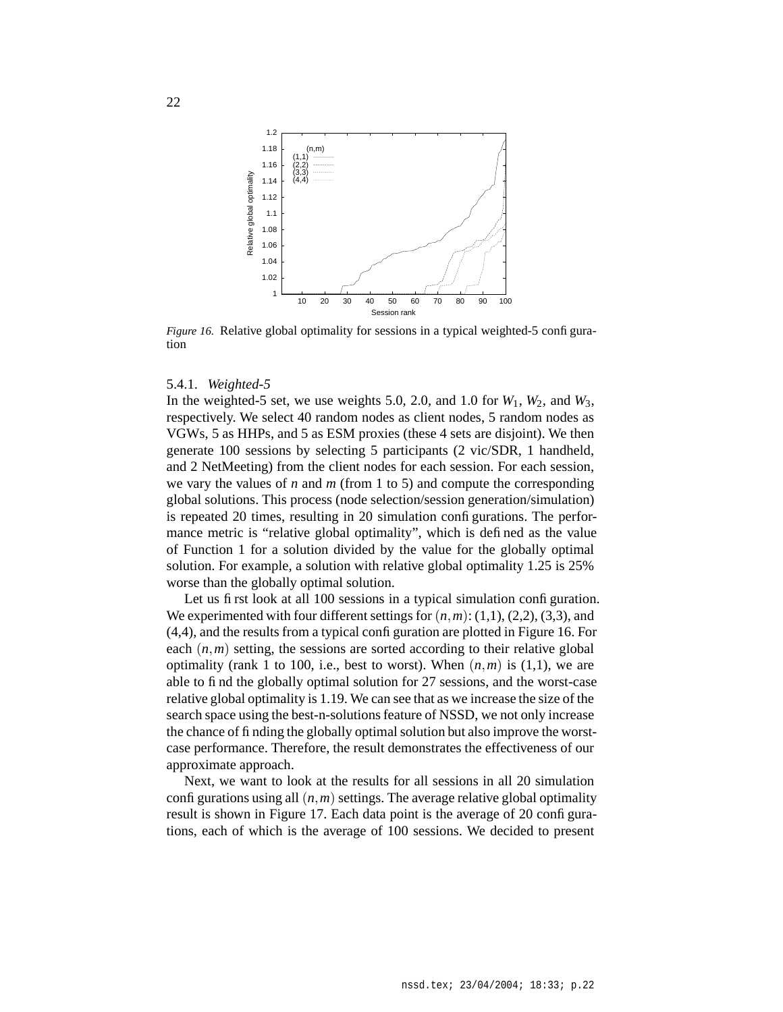

*Figure 16.* Relative global optimality for sessions in a typical weighted-5 configuration

#### 5.4.1. *Weighted-5*

In the weighted-5 set, we use weights 5.0, 2.0, and 1.0 for  $W_1$ ,  $W_2$ , and  $W_3$ , respectively. We select 40 random nodes as client nodes, 5 random nodes as VGWs, 5 as HHPs, and 5 as ESM proxies (these 4 sets are disjoint). We then generate 100 sessions by selecting 5 participants (2 vic/SDR, 1 handheld, and 2 NetMeeting) from the client nodes for each session. For each session, we vary the values of *n* and *m* (from 1 to 5) and compute the corresponding global solutions. This process (node selection/session generation/simulation) is repeated 20 times, resulting in 20 simulation configurations. The performance metric is "relative global optimality", which is defined as the value of Function 1 for a solution divided by the value for the globally optimal solution. For example, a solution with relative global optimality 1.25 is 25% worse than the globally optimal solution.

Let us first look at all 100 sessions in a typical simulation configuration. We experimented with four different settings for  $(n, m)$ :  $(1, 1)$ ,  $(2, 2)$ ,  $(3, 3)$ , and (4,4), and the results from a typical configuration are plotted in Figure 16. For each  $(n,m)$  setting, the sessions are sorted according to their relative global optimality (rank 1 to 100, i.e., best to worst). When  $(n,m)$  is  $(1,1)$ , we are able to find the globally optimal solution for 27 sessions, and the worst-case relative global optimality is 1.19. We can see that as we increase the size of the search space using the best-n-solutions feature of NSSD, we not only increase the chance of finding the globally optimal solution but also improve the worstcase performance. Therefore, the result demonstrates the effectiveness of our approximate approach.

Next, we want to look at the results for all sessions in all 20 simulation configurations using all  $(n, m)$  settings. The average relative global optimality result is shown in Figure 17. Each data point is the average of 20 configurations, each of which is the average of 100 sessions. We decided to present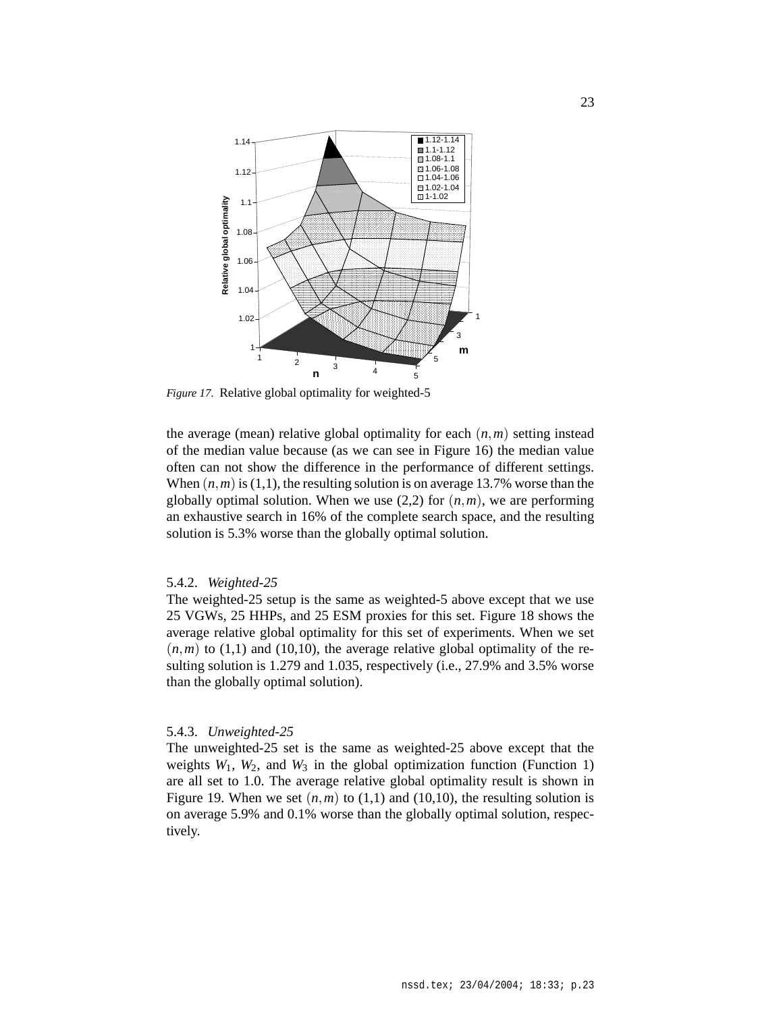

*Figure 17.* Relative global optimality for weighted-5

the average (mean) relative global optimality for each  $(n, m)$  setting instead of the median value because (as we can see in Figure 16) the median value often can not show the difference in the performance of different settings. When  $(n,m)$  is (1,1), the resulting solution is on average 13.7% worse than the globally optimal solution. When we use  $(2,2)$  for  $(n,m)$ , we are performing an exhaustive search in 16% of the complete search space, and the resulting solution is 5.3% worse than the globally optimal solution.

### 5.4.2. *Weighted-25*

The weighted-25 setup is the same as weighted-5 above except that we use 25 VGWs, 25 HHPs, and 25 ESM proxies for this set. Figure 18 shows the average relative global optimality for this set of experiments. When we set  $(n,m)$  to  $(1,1)$  and  $(10,10)$ , the average relative global optimality of the resulting solution is 1.279 and 1.035, respectively (i.e., 27.9% and 3.5% worse than the globally optimal solution).

#### 5.4.3. *Unweighted-25*

The unweighted-25 set is the same as weighted-25 above except that the weights  $W_1$ ,  $W_2$ , and  $W_3$  in the global optimization function (Function 1) are all set to 1.0. The average relative global optimality result is shown in Figure 19. When we set  $(n,m)$  to  $(1,1)$  and  $(10,10)$ , the resulting solution is on average 5.9% and 0.1% worse than the globally optimal solution, respectively.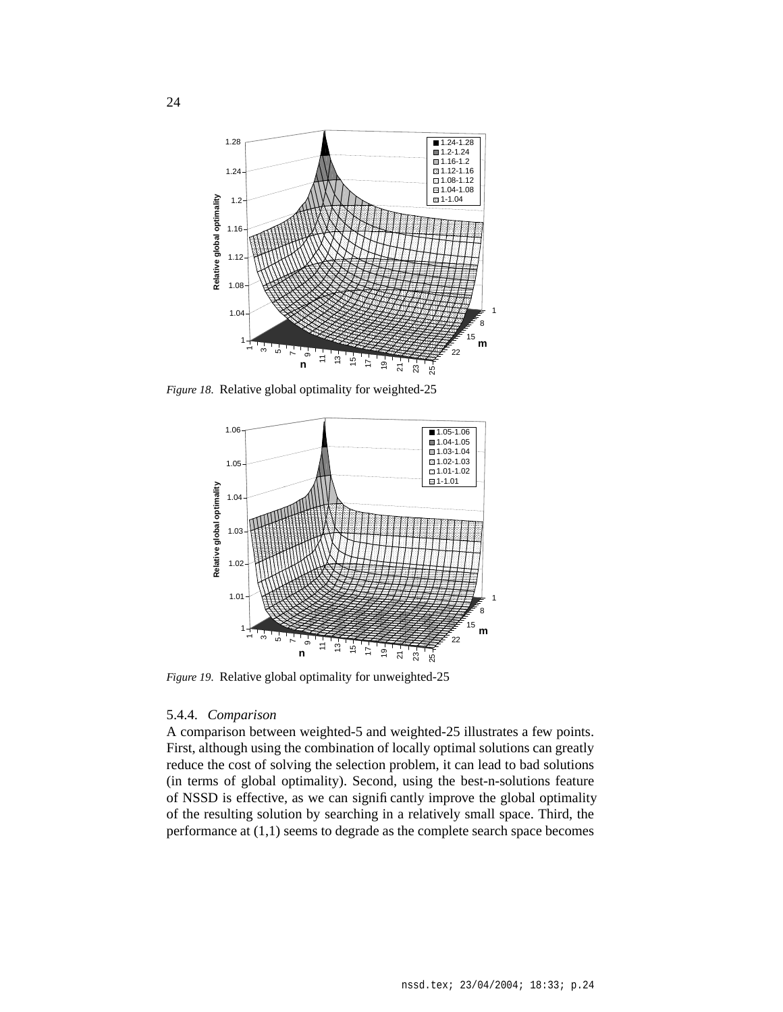

*Figure 18.* Relative global optimality for weighted-25



*Figure 19.* Relative global optimality for unweighted-25

## 5.4.4. *Comparison*

A comparison between weighted-5 and weighted-25 illustrates a few points. First, although using the combination of locally optimal solutions can greatly reduce the cost of solving the selection problem, it can lead to bad solutions (in terms of global optimality). Second, using the best-n-solutions feature of NSSD is effective, as we can significantly improve the global optimality of the resulting solution by searching in a relatively small space. Third, the performance at (1,1) seems to degrade as the complete search space becomes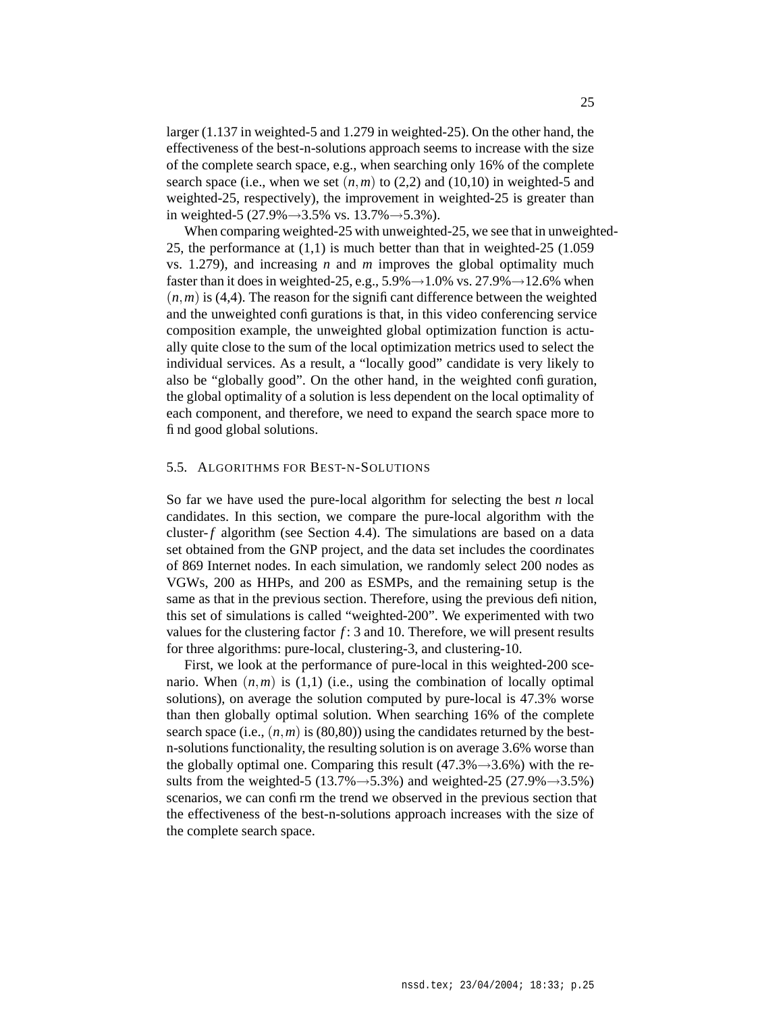larger (1.137 in weighted-5 and 1.279 in weighted-25). On the other hand, the effectiveness of the best-n-solutions approach seems to increase with the size of the complete search space, e.g., when searching only 16% of the complete search space (i.e., when we set  $(n,m)$  to  $(2,2)$  and  $(10,10)$  in weighted-5 and weighted-25, respectively), the improvement in weighted-25 is greater than in weighted-5 (27.9%→3.5% vs. 13.7%→5.3%).

When comparing weighted-25 with unweighted-25, we see that in unweighted-25, the performance at (1,1) is much better than that in weighted-25 (1.059 vs. 1.279), and increasing *n* and *m* improves the global optimality much faster than it does in weighted-25, e.g.,  $5.9\% \rightarrow 1.0\%$  vs.  $27.9\% \rightarrow 12.6\%$  when  $(n,m)$  is (4,4). The reason for the significant difference between the weighted and the unweighted configurations is that, in this video conferencing service composition example, the unweighted global optimization function is actually quite close to the sum of the local optimization metrics used to select the individual services. As a result, a "locally good" candidate is very likely to also be "globally good". On the other hand, in the weighted configuration, the global optimality of a solution is less dependent on the local optimality of each component, and therefore, we need to expand the search space more to find good global solutions.

## 5.5. ALGORITHMS FOR BEST-N-SOLUTIONS

So far we have used the pure-local algorithm for selecting the best *n* local candidates. In this section, we compare the pure-local algorithm with the cluster-*f* algorithm (see Section 4.4). The simulations are based on a data set obtained from the GNP project, and the data set includes the coordinates of 869 Internet nodes. In each simulation, we randomly select 200 nodes as VGWs, 200 as HHPs, and 200 as ESMPs, and the remaining setup is the same as that in the previous section. Therefore, using the previous definition, this set of simulations is called "weighted-200". We experimented with two values for the clustering factor  $f: 3$  and 10. Therefore, we will present results for three algorithms: pure-local, clustering-3, and clustering-10.

First, we look at the performance of pure-local in this weighted-200 scenario. When  $(n,m)$  is  $(1,1)$  (i.e., using the combination of locally optimal solutions), on average the solution computed by pure-local is 47.3% worse than then globally optimal solution. When searching 16% of the complete search space (i.e.,  $(n,m)$  is (80,80)) using the candidates returned by the bestn-solutions functionality, the resulting solution is on average 3.6% worse than the globally optimal one. Comparing this result  $(47.3\% \rightarrow 3.6\%)$  with the results from the weighted-5 (13.7% $\rightarrow$ 5.3%) and weighted-25 (27.9% $\rightarrow$ 3.5%) scenarios, we can confirm the trend we observed in the previous section that the effectiveness of the best-n-solutions approach increases with the size of the complete search space.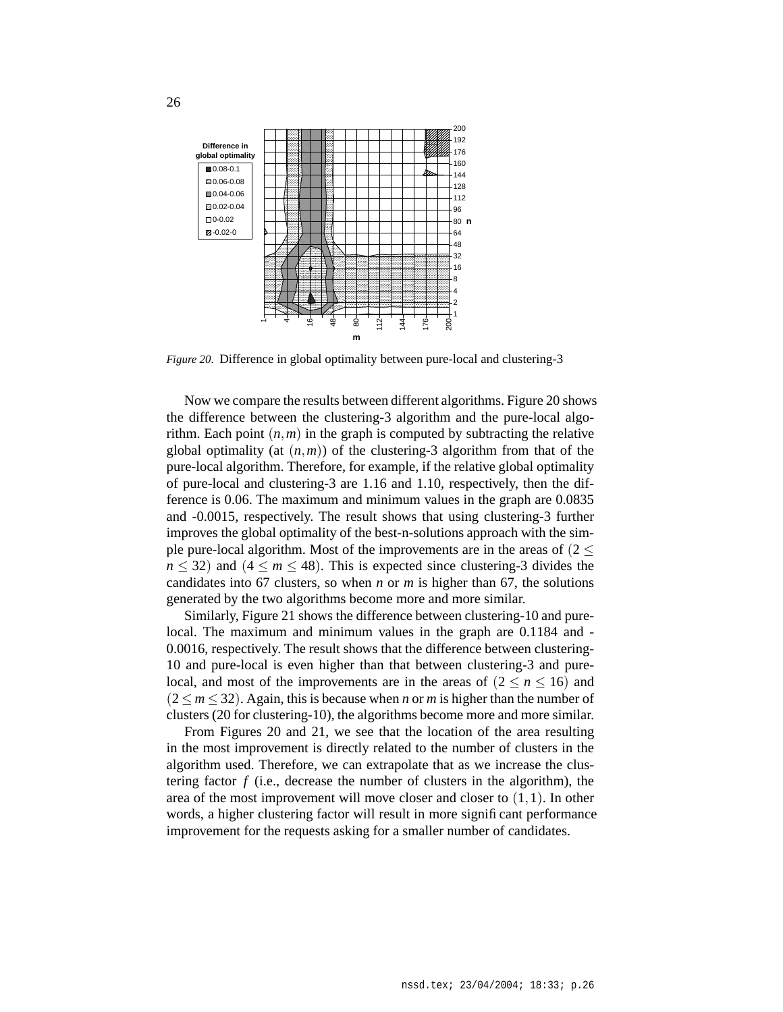

*Figure 20.* Difference in global optimality between pure-local and clustering-3

Now we compare the results between different algorithms. Figure 20 shows the difference between the clustering-3 algorithm and the pure-local algorithm. Each point  $(n, m)$  in the graph is computed by subtracting the relative global optimality (at  $(n, m)$ ) of the clustering-3 algorithm from that of the pure-local algorithm. Therefore, for example, if the relative global optimality of pure-local and clustering-3 are 1.16 and 1.10, respectively, then the difference is 0.06. The maximum and minimum values in the graph are 0.0835 and -0.0015, respectively. The result shows that using clustering-3 further improves the global optimality of the best-n-solutions approach with the simple pure-local algorithm. Most of the improvements are in the areas of  $(2 \leq$  $n \leq 32$ ) and  $(4 \leq m \leq 48)$ . This is expected since clustering-3 divides the candidates into 67 clusters, so when *n* or *m* is higher than 67, the solutions generated by the two algorithms become more and more similar.

Similarly, Figure 21 shows the difference between clustering-10 and purelocal. The maximum and minimum values in the graph are 0.1184 and - 0.0016, respectively. The result shows that the difference between clustering-10 and pure-local is even higher than that between clustering-3 and purelocal, and most of the improvements are in the areas of  $(2 \le n \le 16)$  and  $(2 \le m \le 32)$ . Again, this is because when *n* or *m* is higher than the number of clusters (20 for clustering-10), the algorithms become more and more similar.

From Figures 20 and 21, we see that the location of the area resulting in the most improvement is directly related to the number of clusters in the algorithm used. Therefore, we can extrapolate that as we increase the clustering factor *f* (i.e., decrease the number of clusters in the algorithm), the area of the most improvement will move closer and closer to  $(1,1)$ . In other words, a higher clustering factor will result in more significant performance improvement for the requests asking for a smaller number of candidates.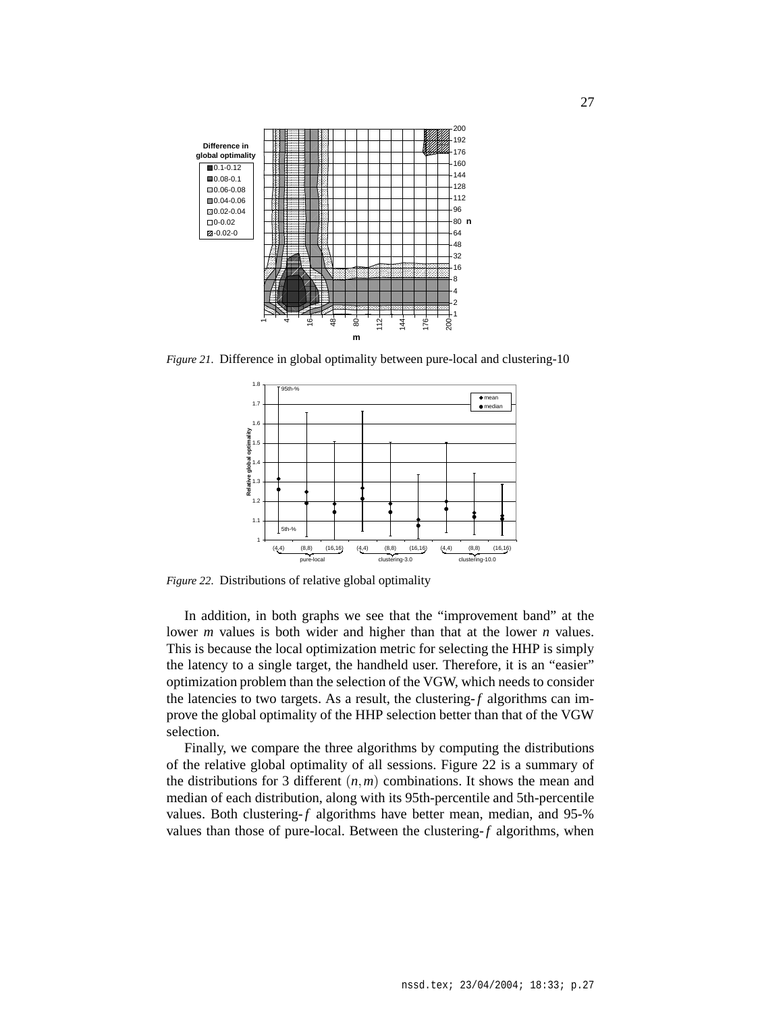

*Figure 21.* Difference in global optimality between pure-local and clustering-10



*Figure 22.* Distributions of relative global optimality

In addition, in both graphs we see that the "improvement band" at the lower *m* values is both wider and higher than that at the lower *n* values. This is because the local optimization metric for selecting the HHP is simply the latency to a single target, the handheld user. Therefore, it is an "easier" optimization problem than the selection of the VGW, which needs to consider the latencies to two targets. As a result, the clustering-*f* algorithms can improve the global optimality of the HHP selection better than that of the VGW selection.

Finally, we compare the three algorithms by computing the distributions of the relative global optimality of all sessions. Figure 22 is a summary of the distributions for 3 different  $(n,m)$  combinations. It shows the mean and median of each distribution, along with its 95th-percentile and 5th-percentile values. Both clustering-*f* algorithms have better mean, median, and 95-% values than those of pure-local. Between the clustering-*f* algorithms, when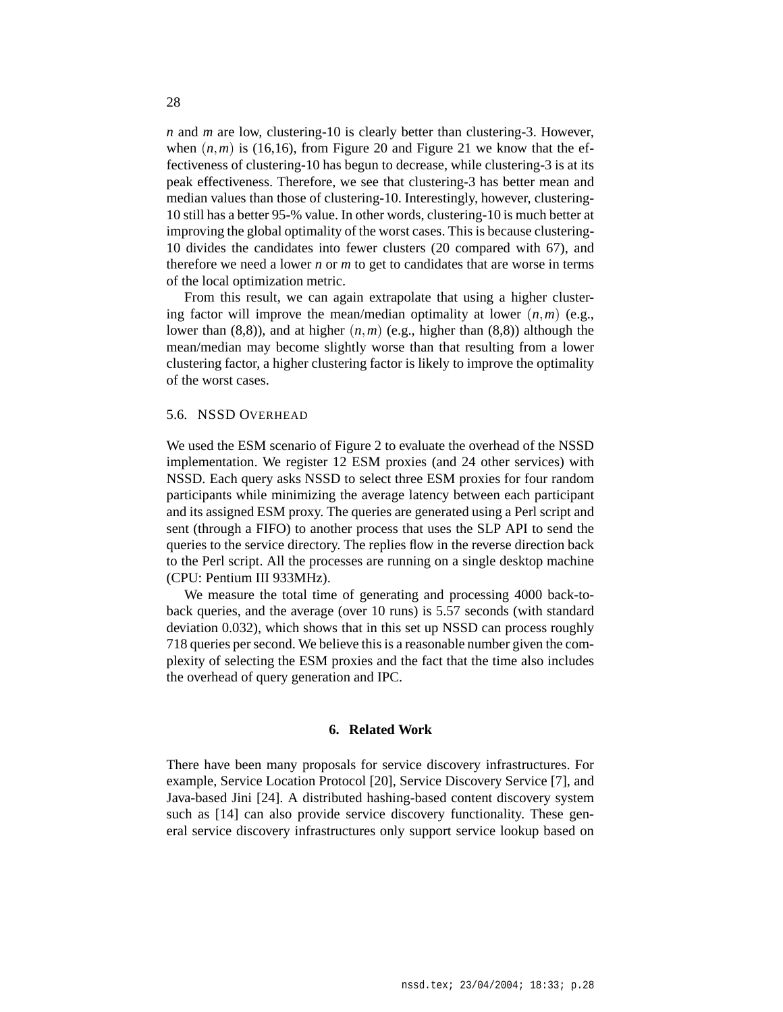*n* and *m* are low, clustering-10 is clearly better than clustering-3. However, when  $(n,m)$  is (16,16), from Figure 20 and Figure 21 we know that the effectiveness of clustering-10 has begun to decrease, while clustering-3 is at its peak effectiveness. Therefore, we see that clustering-3 has better mean and median values than those of clustering-10. Interestingly, however, clustering-10 still has a better 95-% value. In other words, clustering-10 is much better at improving the global optimality of the worst cases. This is because clustering-10 divides the candidates into fewer clusters (20 compared with 67), and therefore we need a lower *n* or *m* to get to candidates that are worse in terms of the local optimization metric.

From this result, we can again extrapolate that using a higher clustering factor will improve the mean/median optimality at lower  $(n,m)$  (e.g., lower than (8,8)), and at higher (*n*,*m*) (e.g., higher than (8,8)) although the mean/median may become slightly worse than that resulting from a lower clustering factor, a higher clustering factor is likely to improve the optimality of the worst cases.

#### 5.6. NSSD OVERHEAD

We used the ESM scenario of Figure 2 to evaluate the overhead of the NSSD implementation. We register 12 ESM proxies (and 24 other services) with NSSD. Each query asks NSSD to select three ESM proxies for four random participants while minimizing the average latency between each participant and its assigned ESM proxy. The queries are generated using a Perl script and sent (through a FIFO) to another process that uses the SLP API to send the queries to the service directory. The replies flow in the reverse direction back to the Perl script. All the processes are running on a single desktop machine (CPU: Pentium III 933MHz).

We measure the total time of generating and processing 4000 back-toback queries, and the average (over 10 runs) is 5.57 seconds (with standard deviation 0.032), which shows that in this set up NSSD can process roughly 718 queries per second. We believe this is a reasonable number given the complexity of selecting the ESM proxies and the fact that the time also includes the overhead of query generation and IPC.

## **6. Related Work**

There have been many proposals for service discovery infrastructures. For example, Service Location Protocol [20], Service Discovery Service [7], and Java-based Jini [24]. A distributed hashing-based content discovery system such as [14] can also provide service discovery functionality. These general service discovery infrastructures only support service lookup based on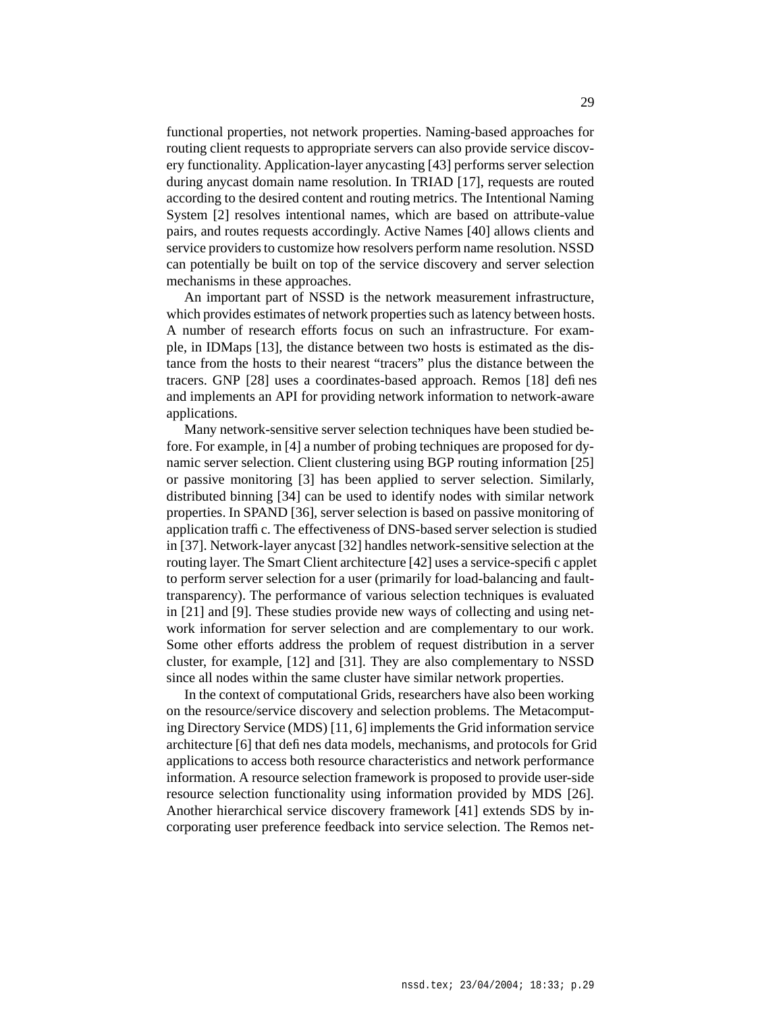functional properties, not network properties. Naming-based approaches for routing client requests to appropriate servers can also provide service discovery functionality. Application-layer anycasting [43] performs server selection during anycast domain name resolution. In TRIAD [17], requests are routed according to the desired content and routing metrics. The Intentional Naming System [2] resolves intentional names, which are based on attribute-value pairs, and routes requests accordingly. Active Names [40] allows clients and service providers to customize how resolvers perform name resolution. NSSD can potentially be built on top of the service discovery and server selection mechanisms in these approaches.

An important part of NSSD is the network measurement infrastructure, which provides estimates of network properties such as latency between hosts. A number of research efforts focus on such an infrastructure. For example, in IDMaps [13], the distance between two hosts is estimated as the distance from the hosts to their nearest "tracers" plus the distance between the tracers. GNP [28] uses a coordinates-based approach. Remos [18] defines and implements an API for providing network information to network-aware applications.

Many network-sensitive server selection techniques have been studied before. For example, in [4] a number of probing techniques are proposed for dynamic server selection. Client clustering using BGP routing information [25] or passive monitoring [3] has been applied to server selection. Similarly, distributed binning [34] can be used to identify nodes with similar network properties. In SPAND [36], server selection is based on passive monitoring of application traffic. The effectiveness of DNS-based server selection is studied in [37]. Network-layer anycast [32] handles network-sensitive selection at the routing layer. The Smart Client architecture [42] uses a service-specific applet to perform server selection for a user (primarily for load-balancing and faulttransparency). The performance of various selection techniques is evaluated in [21] and [9]. These studies provide new ways of collecting and using network information for server selection and are complementary to our work. Some other efforts address the problem of request distribution in a server cluster, for example, [12] and [31]. They are also complementary to NSSD since all nodes within the same cluster have similar network properties.

In the context of computational Grids, researchers have also been working on the resource/service discovery and selection problems. The Metacomputing Directory Service (MDS) [11, 6] implements the Grid information service architecture [6] that defines data models, mechanisms, and protocols for Grid applications to access both resource characteristics and network performance information. A resource selection framework is proposed to provide user-side resource selection functionality using information provided by MDS [26]. Another hierarchical service discovery framework [41] extends SDS by incorporating user preference feedback into service selection. The Remos net-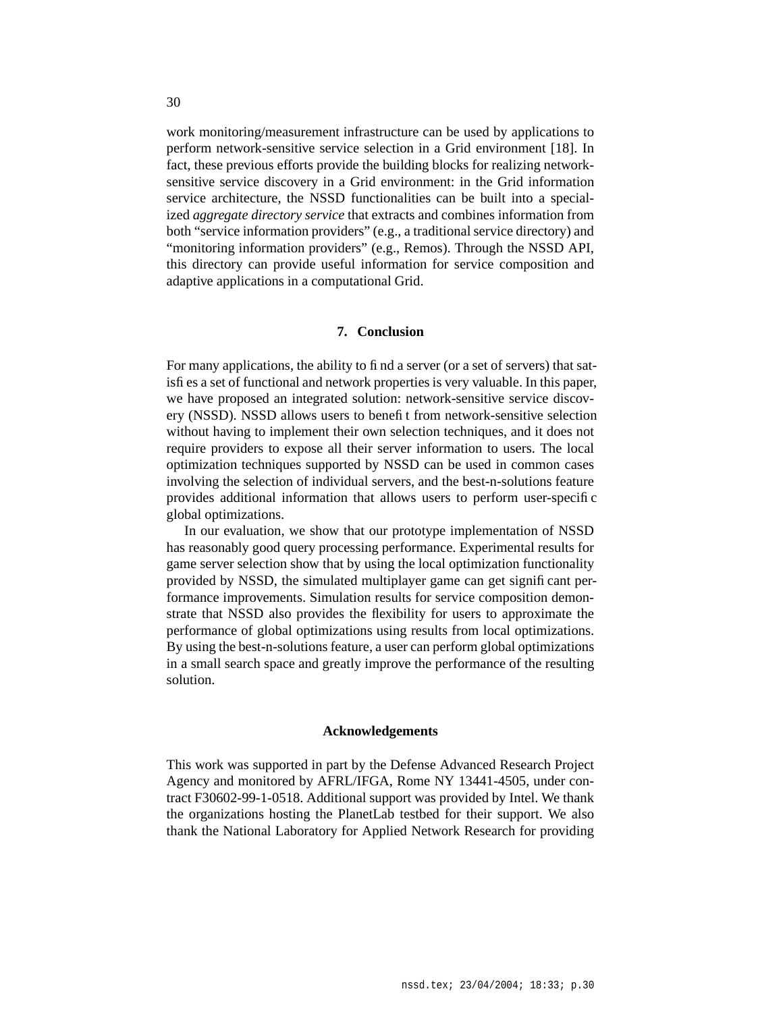work monitoring/measurement infrastructure can be used by applications to perform network-sensitive service selection in a Grid environment [18]. In fact, these previous efforts provide the building blocks for realizing networksensitive service discovery in a Grid environment: in the Grid information service architecture, the NSSD functionalities can be built into a specialized *aggregate directory service* that extracts and combines information from both "service information providers" (e.g., a traditional service directory) and "monitoring information providers" (e.g., Remos). Through the NSSD API, this directory can provide useful information for service composition and adaptive applications in a computational Grid.

# **7. Conclusion**

For many applications, the ability to find a server (or a set of servers) that satisfies a set of functional and network properties is very valuable. In this paper, we have proposed an integrated solution: network-sensitive service discovery (NSSD). NSSD allows users to benefit from network-sensitive selection without having to implement their own selection techniques, and it does not require providers to expose all their server information to users. The local optimization techniques supported by NSSD can be used in common cases involving the selection of individual servers, and the best-n-solutions feature provides additional information that allows users to perform user-specific global optimizations.

In our evaluation, we show that our prototype implementation of NSSD has reasonably good query processing performance. Experimental results for game server selection show that by using the local optimization functionality provided by NSSD, the simulated multiplayer game can get significant performance improvements. Simulation results for service composition demonstrate that NSSD also provides the flexibility for users to approximate the performance of global optimizations using results from local optimizations. By using the best-n-solutions feature, a user can perform global optimizations in a small search space and greatly improve the performance of the resulting solution.

#### **Acknowledgements**

This work was supported in part by the Defense Advanced Research Project Agency and monitored by AFRL/IFGA, Rome NY 13441-4505, under contract F30602-99-1-0518. Additional support was provided by Intel. We thank the organizations hosting the PlanetLab testbed for their support. We also thank the National Laboratory for Applied Network Research for providing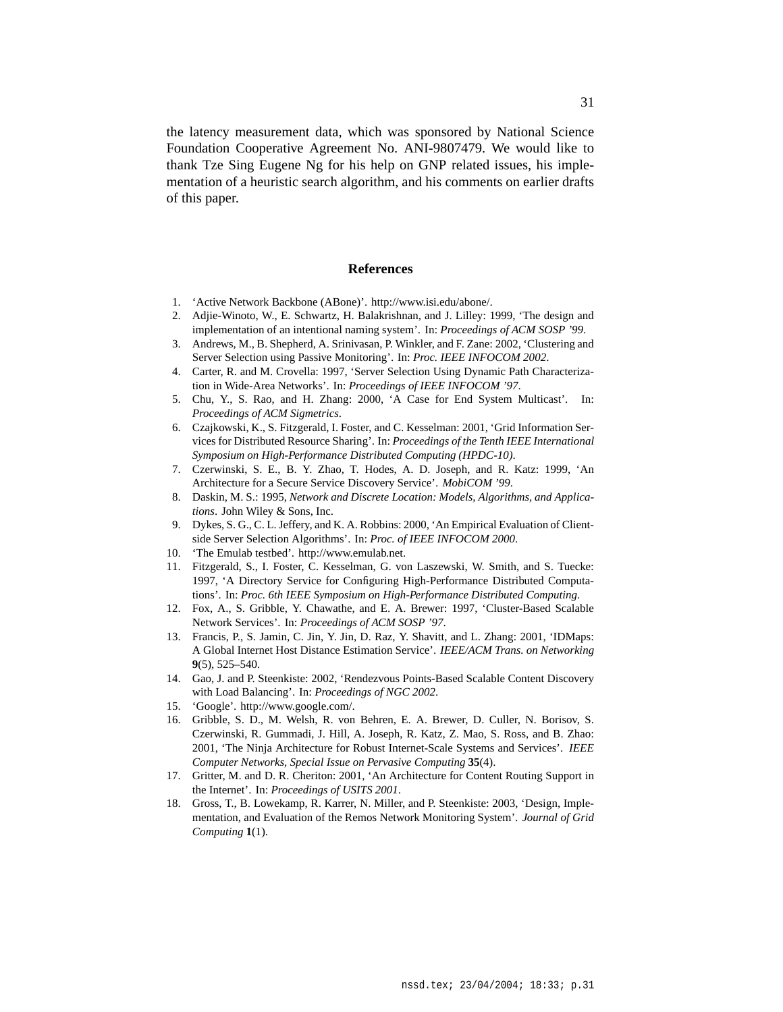the latency measurement data, which was sponsored by National Science Foundation Cooperative Agreement No. ANI-9807479. We would like to thank Tze Sing Eugene Ng for his help on GNP related issues, his implementation of a heuristic search algorithm, and his comments on earlier drafts of this paper.

#### **References**

- 1. 'Active Network Backbone (ABone)'. http://www.isi.edu/abone/.
- 2. Adjie-Winoto, W., E. Schwartz, H. Balakrishnan, and J. Lilley: 1999, 'The design and implementation of an intentional naming system'. In: *Proceedings of ACM SOSP '99*.
- 3. Andrews, M., B. Shepherd, A. Srinivasan, P. Winkler, and F. Zane: 2002, 'Clustering and Server Selection using Passive Monitoring'. In: *Proc. IEEE INFOCOM 2002*.
- 4. Carter, R. and M. Crovella: 1997, 'Server Selection Using Dynamic Path Characterization in Wide-Area Networks'. In: *Proceedings of IEEE INFOCOM '97*.
- 5. Chu, Y., S. Rao, and H. Zhang: 2000, 'A Case for End System Multicast'. In: *Proceedings of ACM Sigmetrics*.
- 6. Czajkowski, K., S. Fitzgerald, I. Foster, and C. Kesselman: 2001, 'Grid Information Services for Distributed Resource Sharing'. In: *Proceedings of the Tenth IEEE International Symposium on High-Performance Distributed Computing (HPDC-10)*.
- 7. Czerwinski, S. E., B. Y. Zhao, T. Hodes, A. D. Joseph, and R. Katz: 1999, 'An Architecture for a Secure Service Discovery Service'. *MobiCOM '99*.
- 8. Daskin, M. S.: 1995, *Network and Discrete Location: Models, Algorithms, and Applications*. John Wiley & Sons, Inc.
- 9. Dykes, S. G., C. L. Jeffery, and K. A. Robbins: 2000, 'An Empirical Evaluation of Clientside Server Selection Algorithms'. In: *Proc. of IEEE INFOCOM 2000*.
- 10. 'The Emulab testbed'. http://www.emulab.net.
- 11. Fitzgerald, S., I. Foster, C. Kesselman, G. von Laszewski, W. Smith, and S. Tuecke: 1997, 'A Directory Service for Configuring High-Performance Distributed Computations'. In: *Proc. 6th IEEE Symposium on High-Performance Distributed Computing*.
- 12. Fox, A., S. Gribble, Y. Chawathe, and E. A. Brewer: 1997, 'Cluster-Based Scalable Network Services'. In: *Proceedings of ACM SOSP '97*.
- 13. Francis, P., S. Jamin, C. Jin, Y. Jin, D. Raz, Y. Shavitt, and L. Zhang: 2001, 'IDMaps: A Global Internet Host Distance Estimation Service'. *IEEE/ACM Trans. on Networking* **9**(5), 525–540.
- 14. Gao, J. and P. Steenkiste: 2002, 'Rendezvous Points-Based Scalable Content Discovery with Load Balancing'. In: *Proceedings of NGC 2002*.
- 15. 'Google'. http://www.google.com/.
- 16. Gribble, S. D., M. Welsh, R. von Behren, E. A. Brewer, D. Culler, N. Borisov, S. Czerwinski, R. Gummadi, J. Hill, A. Joseph, R. Katz, Z. Mao, S. Ross, and B. Zhao: 2001, 'The Ninja Architecture for Robust Internet-Scale Systems and Services'. *IEEE Computer Networks, Special Issue on Pervasive Computing* **35**(4).
- 17. Gritter, M. and D. R. Cheriton: 2001, 'An Architecture for Content Routing Support in the Internet'. In: *Proceedings of USITS 2001*.
- 18. Gross, T., B. Lowekamp, R. Karrer, N. Miller, and P. Steenkiste: 2003, 'Design, Implementation, and Evaluation of the Remos Network Monitoring System'. *Journal of Grid Computing* **1**(1).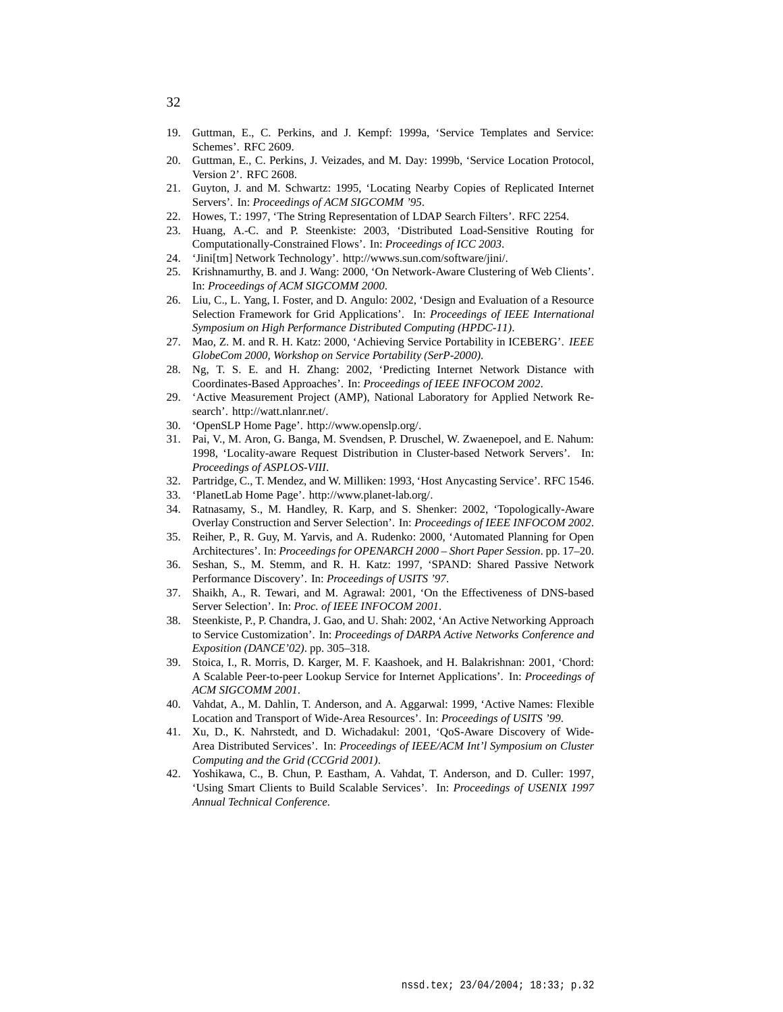- 19. Guttman, E., C. Perkins, and J. Kempf: 1999a, 'Service Templates and Service: Schemes'. RFC 2609.
- 20. Guttman, E., C. Perkins, J. Veizades, and M. Day: 1999b, 'Service Location Protocol, Version 2'. RFC 2608.
- 21. Guyton, J. and M. Schwartz: 1995, 'Locating Nearby Copies of Replicated Internet Servers'. In: *Proceedings of ACM SIGCOMM '95*.
- 22. Howes, T.: 1997, 'The String Representation of LDAP Search Filters'. RFC 2254.
- 23. Huang, A.-C. and P. Steenkiste: 2003, 'Distributed Load-Sensitive Routing for Computationally-Constrained Flows'. In: *Proceedings of ICC 2003*.
- 24. 'Jini[tm] Network Technology'. http://wwws.sun.com/software/jini/.
- 25. Krishnamurthy, B. and J. Wang: 2000, 'On Network-Aware Clustering of Web Clients'. In: *Proceedings of ACM SIGCOMM 2000*.
- 26. Liu, C., L. Yang, I. Foster, and D. Angulo: 2002, 'Design and Evaluation of a Resource Selection Framework for Grid Applications'. In: *Proceedings of IEEE International Symposium on High Performance Distributed Computing (HPDC-11)*.
- 27. Mao, Z. M. and R. H. Katz: 2000, 'Achieving Service Portability in ICEBERG'. *IEEE GlobeCom 2000, Workshop on Service Portability (SerP-2000)*.
- 28. Ng, T. S. E. and H. Zhang: 2002, 'Predicting Internet Network Distance with Coordinates-Based Approaches'. In: *Proceedings of IEEE INFOCOM 2002*.
- 29. 'Active Measurement Project (AMP), National Laboratory for Applied Network Research'. http://watt.nlanr.net/.
- 30. 'OpenSLP Home Page'. http://www.openslp.org/.
- 31. Pai, V., M. Aron, G. Banga, M. Svendsen, P. Druschel, W. Zwaenepoel, and E. Nahum: 1998, 'Locality-aware Request Distribution in Cluster-based Network Servers'. In: *Proceedings of ASPLOS-VIII*.
- 32. Partridge, C., T. Mendez, and W. Milliken: 1993, 'Host Anycasting Service'. RFC 1546.
- 33. 'PlanetLab Home Page'. http://www.planet-lab.org/.
- 34. Ratnasamy, S., M. Handley, R. Karp, and S. Shenker: 2002, 'Topologically-Aware Overlay Construction and Server Selection'. In: *Proceedings of IEEE INFOCOM 2002*.
- 35. Reiher, P., R. Guy, M. Yarvis, and A. Rudenko: 2000, 'Automated Planning for Open Architectures'. In: *Proceedings for OPENARCH 2000 – Short Paper Session*. pp. 17–20.
- 36. Seshan, S., M. Stemm, and R. H. Katz: 1997, 'SPAND: Shared Passive Network Performance Discovery'. In: *Proceedings of USITS '97*.
- 37. Shaikh, A., R. Tewari, and M. Agrawal: 2001, 'On the Effectiveness of DNS-based Server Selection'. In: *Proc. of IEEE INFOCOM 2001*.
- 38. Steenkiste, P., P. Chandra, J. Gao, and U. Shah: 2002, 'An Active Networking Approach to Service Customization'. In: *Proceedings of DARPA Active Networks Conference and Exposition (DANCE'02)*. pp. 305–318.
- 39. Stoica, I., R. Morris, D. Karger, M. F. Kaashoek, and H. Balakrishnan: 2001, 'Chord: A Scalable Peer-to-peer Lookup Service for Internet Applications'. In: *Proceedings of ACM SIGCOMM 2001*.
- 40. Vahdat, A., M. Dahlin, T. Anderson, and A. Aggarwal: 1999, 'Active Names: Flexible Location and Transport of Wide-Area Resources'. In: *Proceedings of USITS '99*.
- 41. Xu, D., K. Nahrstedt, and D. Wichadakul: 2001, 'QoS-Aware Discovery of Wide-Area Distributed Services'. In: *Proceedings of IEEE/ACM Int'l Symposium on Cluster Computing and the Grid (CCGrid 2001)*.
- 42. Yoshikawa, C., B. Chun, P. Eastham, A. Vahdat, T. Anderson, and D. Culler: 1997, 'Using Smart Clients to Build Scalable Services'. In: *Proceedings of USENIX 1997 Annual Technical Conference*.

32